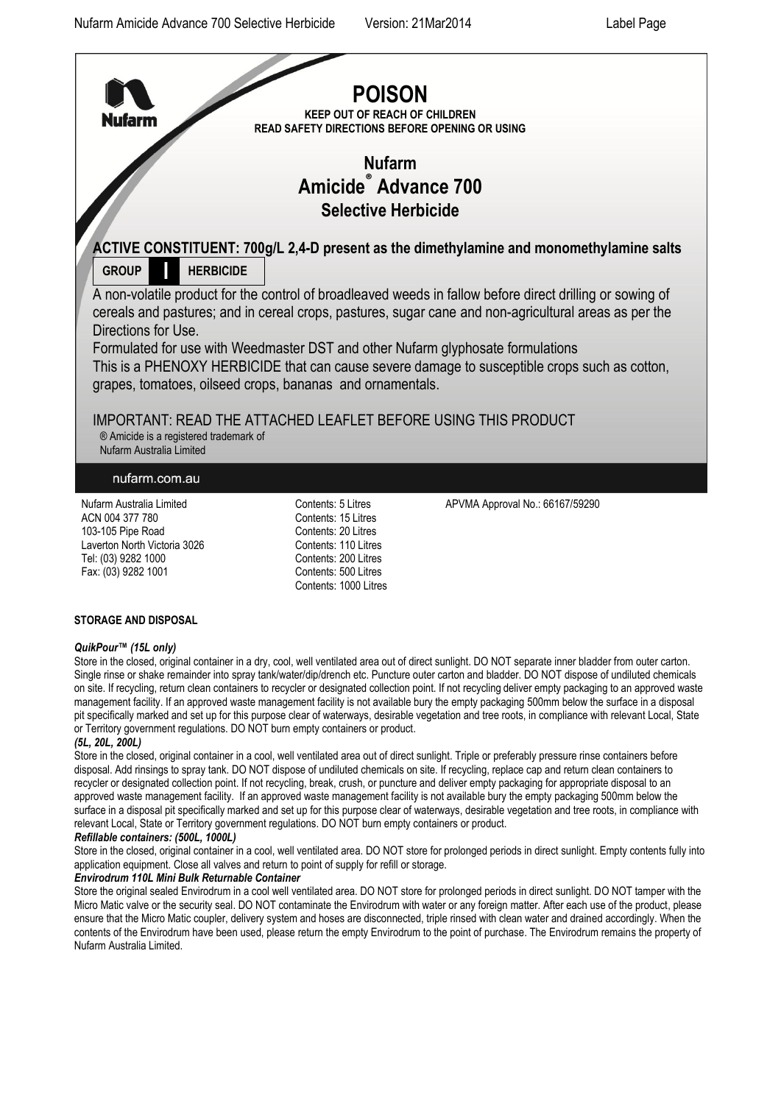

#### **STORAGE AND DISPOSAL**

#### *QuikPour™ (15L only)*

Store in the closed, original container in a dry, cool, well ventilated area out of direct sunlight. DO NOT separate inner bladder from outer carton. Single rinse or shake remainder into spray tank/water/dip/drench etc. Puncture outer carton and bladder. DO NOT dispose of undiluted chemicals on site. If recycling, return clean containers to recycler or designated collection point. If not recycling deliver empty packaging to an approved waste management facility. If an approved waste management facility is not available bury the empty packaging 500mm below the surface in a disposal pit specifically marked and set up for this purpose clear of waterways, desirable vegetation and tree roots, in compliance with relevant Local, State or Territory government regulations. DO NOT burn empty containers or product.

### *(5L, 20L, 200L)*

Store in the closed, original container in a cool, well ventilated area out of direct sunlight. Triple or preferably pressure rinse containers before disposal. Add rinsings to spray tank. DO NOT dispose of undiluted chemicals on site. If recycling, replace cap and return clean containers to recycler or designated collection point. If not recycling, break, crush, or puncture and deliver empty packaging for appropriate disposal to an approved waste management facility. If an approved waste management facility is not available bury the empty packaging 500mm below the surface in a disposal pit specifically marked and set up for this purpose clear of waterways, desirable vegetation and tree roots, in compliance with relevant Local, State or Territory government regulations. DO NOT burn empty containers or product.

# *Refillable containers: (500L, 1000L)*

Store in the closed, original container in a cool, well ventilated area. DO NOT store for prolonged periods in direct sunlight. Empty contents fully into application equipment. Close all valves and return to point of supply for refill or storage.

#### *Envirodrum 110L Mini Bulk Returnable Container*

Store the original sealed Envirodrum in a cool well ventilated area. DO NOT store for prolonged periods in direct sunlight. DO NOT tamper with the Micro Matic valve or the security seal. DO NOT contaminate the Envirodrum with water or any foreign matter. After each use of the product, please ensure that the Micro Matic coupler, delivery system and hoses are disconnected, triple rinsed with clean water and drained accordingly. When the contents of the Envirodrum have been used, please return the empty Envirodrum to the point of purchase. The Envirodrum remains the property of Nufarm Australia Limited.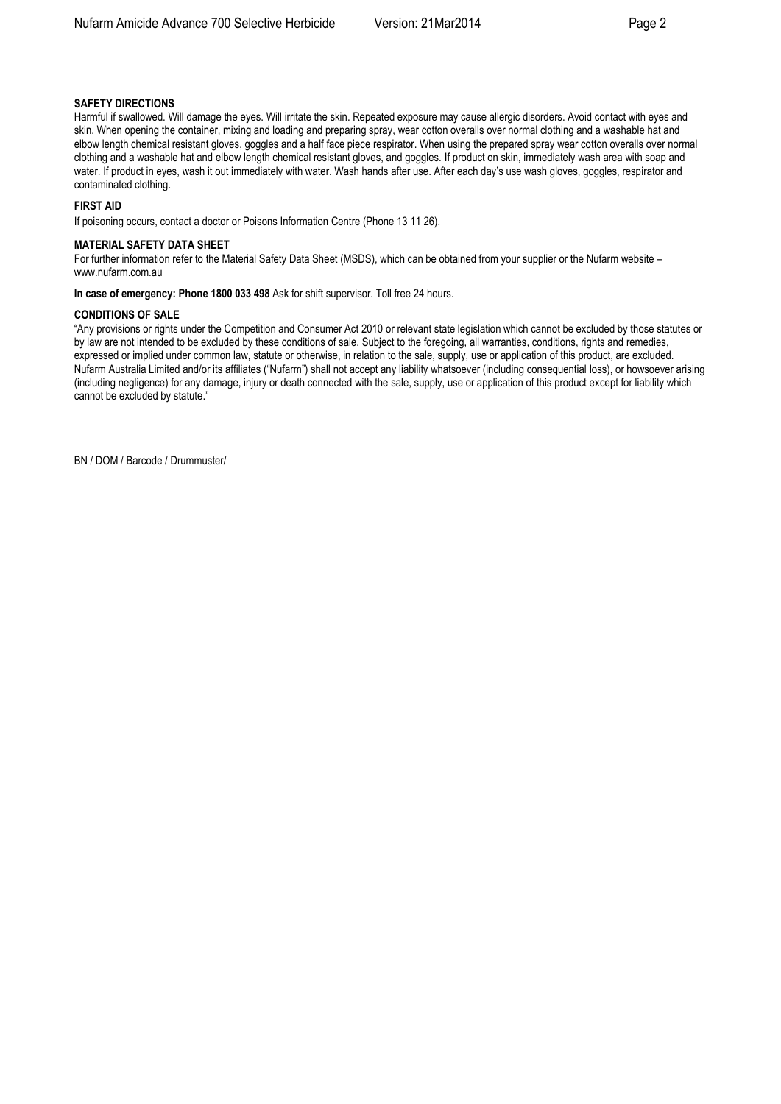### **SAFETY DIRECTIONS**

Harmful if swallowed. Will damage the eyes. Will irritate the skin. Repeated exposure may cause allergic disorders. Avoid contact with eyes and skin. When opening the container, mixing and loading and preparing spray, wear cotton overalls over normal clothing and a washable hat and elbow length chemical resistant gloves, goggles and a half face piece respirator. When using the prepared spray wear cotton overalls over normal clothing and a washable hat and elbow length chemical resistant gloves, and goggles. If product on skin, immediately wash area with soap and water. If product in eyes, wash it out immediately with water. Wash hands after use. After each day's use wash gloves, goggles, respirator and contaminated clothing.

#### **FIRST AID**

If poisoning occurs, contact a doctor or Poisons Information Centre (Phone 13 11 26).

#### **MATERIAL SAFETY DATA SHEET**

For further information refer to the Material Safety Data Sheet (MSDS), which can be obtained from your supplier or the Nufarm website – [www.nufarm.com.au](http://www.nufarm.com.au/)

#### **In case of emergency: Phone 1800 033 498** Ask for shift supervisor. Toll free 24 hours.

#### **CONDITIONS OF SALE**

"Any provisions or rights under the Competition and Consumer Act 2010 or relevant state legislation which cannot be excluded by those statutes or by law are not intended to be excluded by these conditions of sale. Subject to the foregoing, all warranties, conditions, rights and remedies, expressed or implied under common law, statute or otherwise, in relation to the sale, supply, use or application of this product, are excluded. Nufarm Australia Limited and/or its affiliates ("Nufarm") shall not accept any liability whatsoever (including consequential loss), or howsoever arising (including negligence) for any damage, injury or death connected with the sale, supply, use or application of this product except for liability which cannot be excluded by statute."

BN / DOM / Barcode / Drummuster/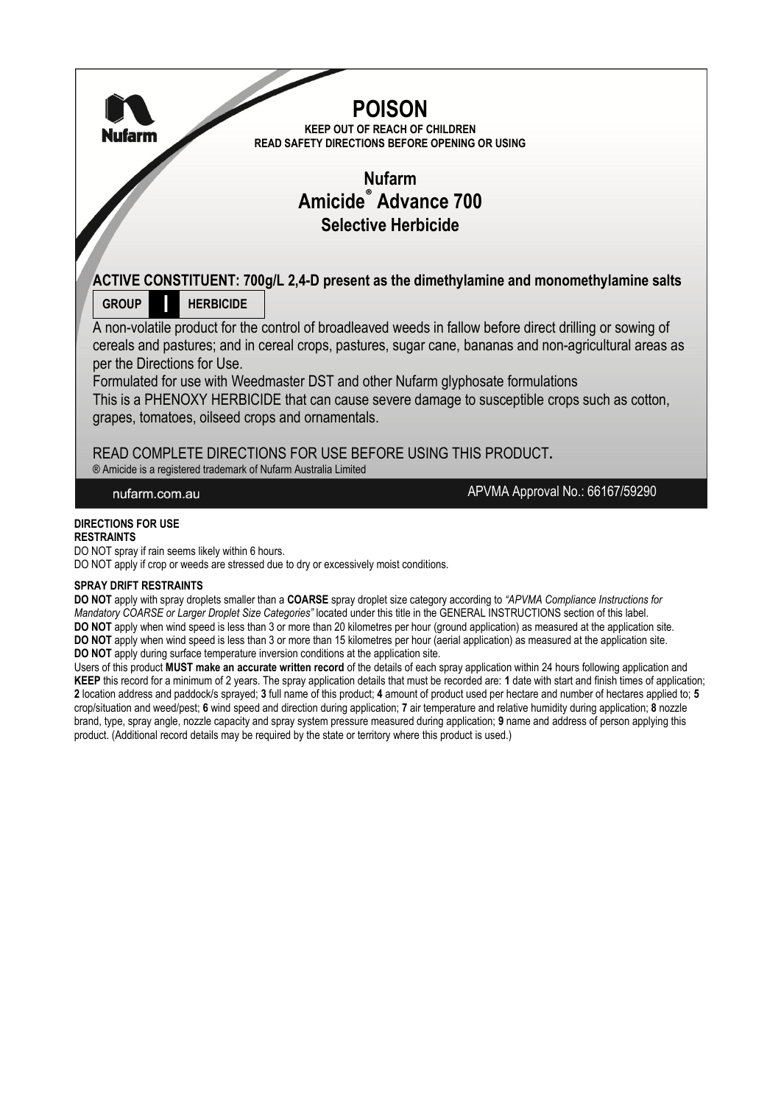

### **SPRAY DRIFT RESTRAINTS**

**DO NOT** apply with spray droplets smaller than a **COARSE** spray droplet size category according to *"APVMA Compliance Instructions for Mandatory COARSE or Larger Droplet Size Categories"* located under this title in the GENERAL INSTRUCTIONS section of this label. **DO NOT** apply when wind speed is less than 3 or more than 20 kilometres per hour (ground application) as measured at the application site. **DO NOT** apply when wind speed is less than 3 or more than 15 kilometres per hour (aerial application) as measured at the application site. **DO NOT** apply during surface temperature inversion conditions at the application site.

Users of this product **MUST make an accurate written record** of the details of each spray application within 24 hours following application and **KEEP** this record for a minimum of 2 years. The spray application details that must be recorded are: **1** date with start and finish times of application; **2** location address and paddock/s sprayed; **3** full name of this product; **4** amount of product used per hectare and number of hectares applied to; **5**  crop/situation and weed/pest; **6** wind speed and direction during application; **7** air temperature and relative humidity during application; **8** nozzle brand, type, spray angle, nozzle capacity and spray system pressure measured during application; **9** name and address of person applying this product. (Additional record details may be required by the state or territory where this product is used.)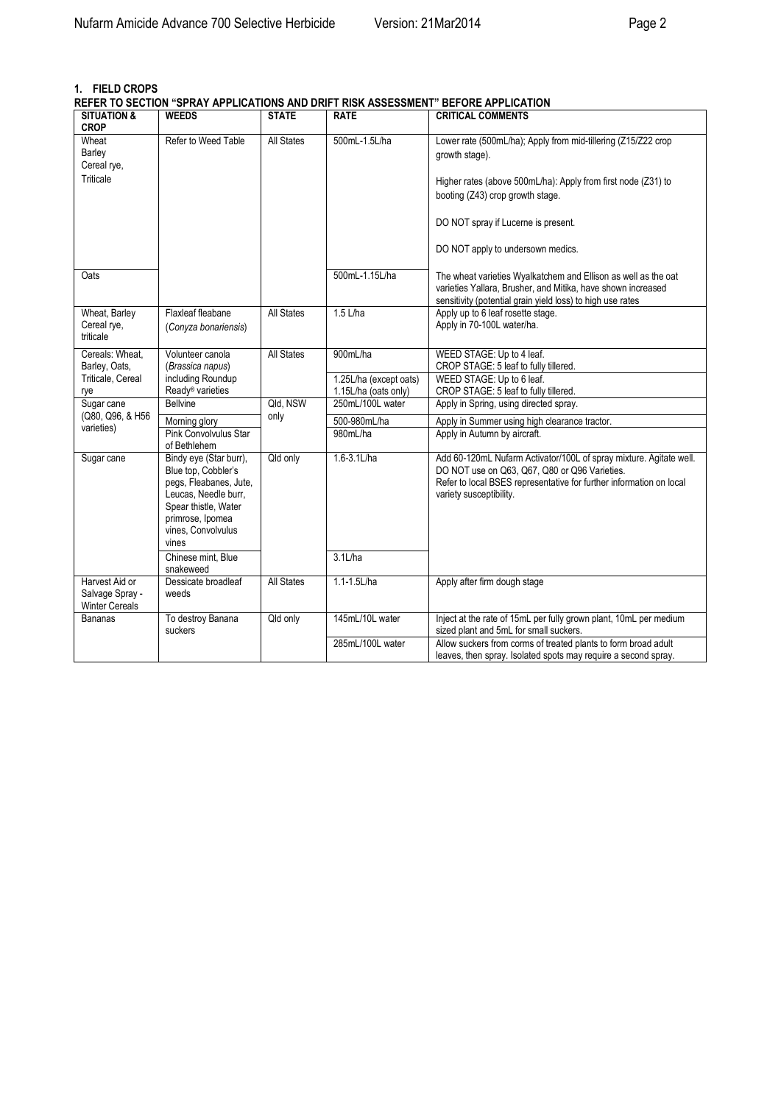# **1. FIELD CROPS**

**REFER TO SECTION "SPRAY APPLICATIONS AND DRIFT RISK ASSESSMENT" BEFORE APPLICATION**

| <b>SITUATION &amp;</b><br><b>CROP</b>                      | <b>WEEDS</b>                                                                                                                                                               | <b>STATE</b>      | <b>RATE</b>                                    | <b>CRITICAL COMMENTS</b>                                                                                                                                                                                              |
|------------------------------------------------------------|----------------------------------------------------------------------------------------------------------------------------------------------------------------------------|-------------------|------------------------------------------------|-----------------------------------------------------------------------------------------------------------------------------------------------------------------------------------------------------------------------|
| Wheat<br>Barley<br>Cereal rye.                             | Refer to Weed Table                                                                                                                                                        | <b>All States</b> | 500mL-1.5L/ha                                  | Lower rate (500mL/ha); Apply from mid-tillering (Z15/Z22 crop<br>growth stage).                                                                                                                                       |
| Triticale                                                  |                                                                                                                                                                            |                   |                                                | Higher rates (above 500mL/ha): Apply from first node (Z31) to<br>booting (Z43) crop growth stage.                                                                                                                     |
|                                                            |                                                                                                                                                                            |                   |                                                | DO NOT spray if Lucerne is present.                                                                                                                                                                                   |
|                                                            |                                                                                                                                                                            |                   |                                                | DO NOT apply to undersown medics.                                                                                                                                                                                     |
| Oats                                                       |                                                                                                                                                                            |                   | 500mL-1.15L/ha                                 | The wheat varieties Wyalkatchem and Ellison as well as the oat<br>varieties Yallara, Brusher, and Mitika, have shown increased<br>sensitivity (potential grain yield loss) to high use rates                          |
| Wheat, Barley<br>Cereal rye,<br>triticale                  | Flaxleaf fleabane<br>(Conyza bonariensis)                                                                                                                                  | <b>All States</b> | $1.5$ L/ha                                     | Apply up to 6 leaf rosette stage.<br>Apply in 70-100L water/ha.                                                                                                                                                       |
| Cereals: Wheat.<br>Barley, Oats,                           | Volunteer canola<br>(Brassica napus)                                                                                                                                       | <b>All States</b> | 900mL/ha                                       | WEED STAGE: Up to 4 leaf.<br>CROP STAGE: 5 leaf to fully tillered.                                                                                                                                                    |
| Triticale, Cereal<br>rye                                   | including Roundup<br>Ready <sup>®</sup> varieties                                                                                                                          |                   | 1.25L/ha (except oats)<br>1.15L/ha (oats only) | WEED STAGE: Up to 6 leaf.<br>CROP STAGE: 5 leaf to fully tillered.                                                                                                                                                    |
| Sugar cane                                                 | <b>Bellvine</b>                                                                                                                                                            | Qld. NSW          | 250mL/100L water                               | Apply in Spring, using directed spray.                                                                                                                                                                                |
| (Q80, Q96, & H56<br>varieties)                             | Morning glory                                                                                                                                                              | only              | 500-980mL/ha                                   | Apply in Summer using high clearance tractor.                                                                                                                                                                         |
|                                                            | Pink Convolvulus Star<br>of Bethlehem                                                                                                                                      |                   | 980mL/ha                                       | Apply in Autumn by aircraft.                                                                                                                                                                                          |
| Sugar cane                                                 | Bindy eye (Star burr),<br>Blue top, Cobbler's<br>pegs, Fleabanes, Jute,<br>Leucas, Needle burr,<br>Spear thistle, Water<br>primrose, Ipomea<br>vines, Convolvulus<br>vines | Qld only          | 1.6-3.1L/ha                                    | Add 60-120mL Nufarm Activator/100L of spray mixture. Agitate well.<br>DO NOT use on Q63, Q67, Q80 or Q96 Varieties.<br>Refer to local BSES representative for further information on local<br>variety susceptibility. |
|                                                            | Chinese mint, Blue<br>snakeweed                                                                                                                                            |                   | $3.1$ L/ha                                     |                                                                                                                                                                                                                       |
| Harvest Aid or<br>Salvage Spray -<br><b>Winter Cereals</b> | Dessicate broadleaf<br>weeds                                                                                                                                               | All States        | 1.1-1.5L/ha                                    | Apply after firm dough stage                                                                                                                                                                                          |
| <b>Bananas</b>                                             | To destroy Banana<br>suckers                                                                                                                                               | Qld only          | 145mL/10L water                                | Inject at the rate of 15mL per fully grown plant, 10mL per medium<br>sized plant and 5mL for small suckers.                                                                                                           |
|                                                            |                                                                                                                                                                            |                   | 285mL/100L water                               | Allow suckers from corms of treated plants to form broad adult<br>leaves, then spray. Isolated spots may require a second spray.                                                                                      |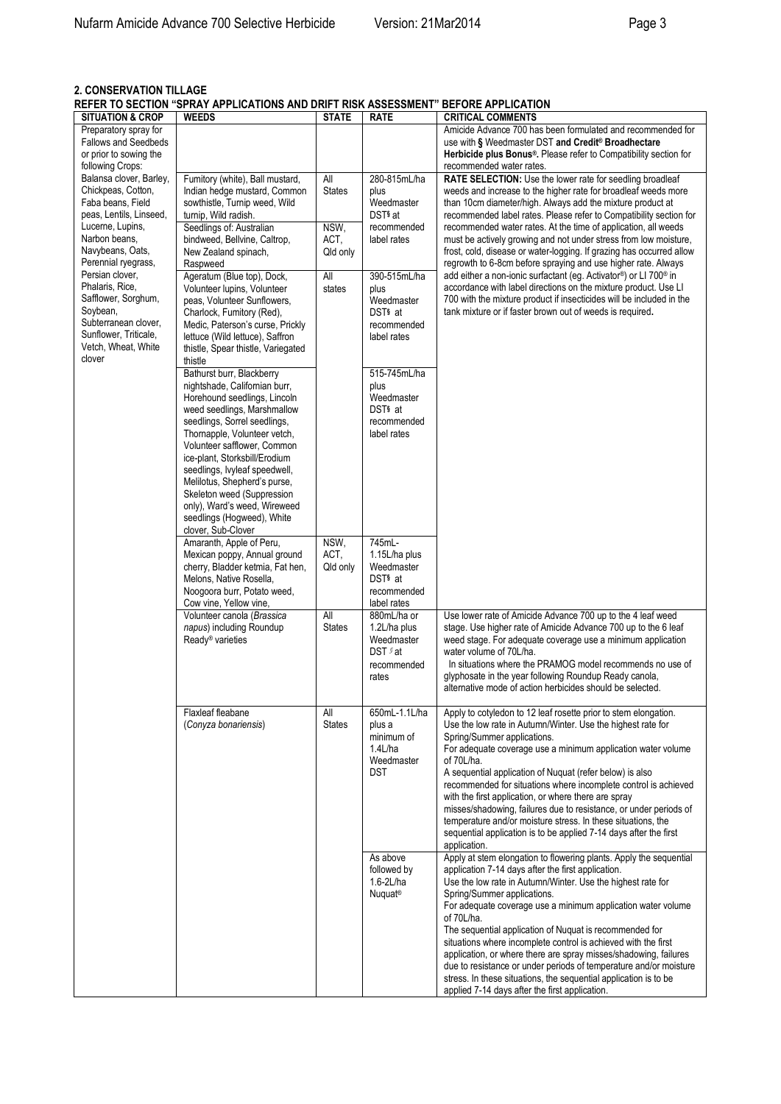# **2. CONSERVATION TILLAGE REFER TO SECTION "SPRAY APPLICATIONS AND DRIFT RISK ASSESSMENT" BEFORE APPLICATION**

| <b>EL EN TO OLOTION</b><br><b>SITUATION &amp; CROP</b> | <b><i>DETAIL ALL EIGATIONS AND DIMET NON AGOLOGINENT</i></b><br><b>WEEDS</b> | <b>STATE</b>         | <b>RATE</b>                                | <b>PLI VINL ALL LIVATIVIT</b><br><b>CRITICAL COMMENTS</b>                                                                                       |
|--------------------------------------------------------|------------------------------------------------------------------------------|----------------------|--------------------------------------------|-------------------------------------------------------------------------------------------------------------------------------------------------|
| Preparatory spray for                                  |                                                                              |                      |                                            | Amicide Advance 700 has been formulated and recommended for                                                                                     |
| <b>Fallows and Seedbeds</b><br>or prior to sowing the  |                                                                              |                      |                                            | use with § Weedmaster DST and Credit <sup>®</sup> Broadhectare<br>Herbicide plus Bonus <sup>®</sup> . Please refer to Compatibility section for |
| following Crops:                                       |                                                                              |                      |                                            | recommended water rates.                                                                                                                        |
| Balansa clover, Barley,                                | Fumitory (white), Ball mustard,                                              | All                  | 280-815mL/ha                               | <b>RATE SELECTION:</b> Use the lower rate for seedling broadleaf                                                                                |
| Chickpeas, Cotton,                                     | Indian hedge mustard, Common                                                 | <b>States</b>        | plus                                       | weeds and increase to the higher rate for broadleaf weeds more                                                                                  |
| Faba beans, Field                                      | sowthistle, Turnip weed, Wild                                                |                      | Weedmaster                                 | than 10cm diameter/high. Always add the mixture product at                                                                                      |
| peas, Lentils, Linseed,<br>Lucerne, Lupins,            | turnip, Wild radish.<br>Seedlings of: Australian                             | NSW,                 | DST <sub>s</sub> at<br>recommended         | recommended label rates. Please refer to Compatibility section for<br>recommended water rates. At the time of application, all weeds            |
| Narbon beans,                                          | bindweed, Bellvine, Caltrop,                                                 | ACT,                 | label rates                                | must be actively growing and not under stress from low moisture,                                                                                |
| Navybeans, Oats,                                       | New Zealand spinach,                                                         | Qld only             |                                            | frost, cold, disease or water-logging. If grazing has occurred allow                                                                            |
| Perennial ryegrass,<br>Persian clover,                 | Raspweed                                                                     |                      |                                            | regrowth to 6-8cm before spraying and use higher rate. Always                                                                                   |
| Phalaris, Rice,                                        | Ageratum (Blue top), Dock,<br>Volunteer lupins, Volunteer                    | All<br>states        | 390-515mL/ha<br>plus                       | add either a non-ionic surfactant (eg. Activator®) or LI 700® in<br>accordance with label directions on the mixture product. Use LI             |
| Safflower, Sorghum,                                    | peas, Volunteer Sunflowers,                                                  |                      | Weedmaster                                 | 700 with the mixture product if insecticides will be included in the                                                                            |
| Soybean,                                               | Charlock, Fumitory (Red),                                                    |                      | DST <sup>§</sup> at                        | tank mixture or if faster brown out of weeds is required.                                                                                       |
| Subterranean clover,<br>Sunflower, Triticale,          | Medic, Paterson's curse, Prickly<br>lettuce (Wild lettuce), Saffron          |                      | recommended<br>label rates                 |                                                                                                                                                 |
| Vetch, Wheat, White                                    | thistle, Spear thistle, Variegated                                           |                      |                                            |                                                                                                                                                 |
| clover                                                 | thistle                                                                      |                      |                                            |                                                                                                                                                 |
|                                                        | Bathurst burr, Blackberry                                                    |                      | 515-745mL/ha                               |                                                                                                                                                 |
|                                                        | nightshade, Californian burr,<br>Horehound seedlings, Lincoln                |                      | plus<br>Weedmaster                         |                                                                                                                                                 |
|                                                        | weed seedlings, Marshmallow                                                  |                      | DST <sub>§</sub> at                        |                                                                                                                                                 |
|                                                        | seedlings, Sorrel seedlings,                                                 |                      | recommended                                |                                                                                                                                                 |
|                                                        | Thornapple, Volunteer vetch,                                                 |                      | label rates                                |                                                                                                                                                 |
|                                                        | Volunteer safflower, Common<br>ice-plant, Storksbill/Erodium                 |                      |                                            |                                                                                                                                                 |
|                                                        | seedlings, Ivyleaf speedwell,                                                |                      |                                            |                                                                                                                                                 |
|                                                        | Melilotus, Shepherd's purse,                                                 |                      |                                            |                                                                                                                                                 |
|                                                        | Skeleton weed (Suppression<br>only), Ward's weed, Wireweed                   |                      |                                            |                                                                                                                                                 |
|                                                        | seedlings (Hogweed), White                                                   |                      |                                            |                                                                                                                                                 |
|                                                        | clover, Sub-Clover                                                           |                      |                                            |                                                                                                                                                 |
|                                                        | Amaranth, Apple of Peru,                                                     | NSW,                 | 745mL-                                     |                                                                                                                                                 |
|                                                        | Mexican poppy, Annual ground<br>cherry, Bladder ketmia, Fat hen,             | ACT,<br>Qld only     | 1.15L/ha plus<br>Weedmaster                |                                                                                                                                                 |
|                                                        | Melons, Native Rosella,                                                      |                      | DST <sub>§</sub> at                        |                                                                                                                                                 |
|                                                        | Noogoora burr, Potato weed,                                                  |                      | recommended                                |                                                                                                                                                 |
|                                                        | Cow vine, Yellow vine,<br>Volunteer canola (Brassica                         | All                  | label rates                                |                                                                                                                                                 |
|                                                        | napus) including Roundup                                                     | <b>States</b>        | 880mL/ha or<br>1.2L/ha plus                | Use lower rate of Amicide Advance 700 up to the 4 leaf weed<br>stage. Use higher rate of Amicide Advance 700 up to the 6 leaf                   |
|                                                        | Ready <sup>®</sup> varieties                                                 |                      | Weedmaster                                 | weed stage. For adequate coverage use a minimum application                                                                                     |
|                                                        |                                                                              |                      | DST fat                                    | water volume of 70L/ha.                                                                                                                         |
|                                                        |                                                                              |                      | recommended<br>rates                       | In situations where the PRAMOG model recommends no use of<br>glyphosate in the year following Roundup Ready canola,                             |
|                                                        |                                                                              |                      |                                            | alternative mode of action herbicides should be selected.                                                                                       |
|                                                        |                                                                              |                      |                                            |                                                                                                                                                 |
|                                                        | Flaxleaf fleabane<br>(Conyza bonariensis)                                    | All<br><b>States</b> | 650mL-1.1L/ha<br>plus a                    | Apply to cotyledon to 12 leaf rosette prior to stem elongation.<br>Use the low rate in Autumn/Winter. Use the highest rate for                  |
|                                                        |                                                                              |                      | minimum of                                 | Spring/Summer applications.                                                                                                                     |
|                                                        |                                                                              |                      | 1.4L/ha                                    | For adequate coverage use a minimum application water volume                                                                                    |
|                                                        |                                                                              |                      | Weedmaster                                 | of 70L/ha.                                                                                                                                      |
|                                                        |                                                                              |                      | DST                                        | A sequential application of Nuquat (refer below) is also<br>recommended for situations where incomplete control is achieved                     |
|                                                        |                                                                              |                      |                                            | with the first application, or where there are spray                                                                                            |
|                                                        |                                                                              |                      |                                            | misses/shadowing, failures due to resistance, or under periods of                                                                               |
|                                                        |                                                                              |                      |                                            | temperature and/or moisture stress. In these situations, the<br>sequential application is to be applied 7-14 days after the first               |
|                                                        |                                                                              |                      |                                            | application.                                                                                                                                    |
|                                                        |                                                                              |                      | As above                                   | Apply at stem elongation to flowering plants. Apply the sequential                                                                              |
|                                                        |                                                                              |                      | followed by                                | application 7-14 days after the first application.                                                                                              |
|                                                        |                                                                              |                      | $1.6 - 2L/ha$<br><b>Nuquat<sup>®</sup></b> | Use the low rate in Autumn/Winter. Use the highest rate for<br>Spring/Summer applications.                                                      |
|                                                        |                                                                              |                      |                                            | For adequate coverage use a minimum application water volume                                                                                    |
|                                                        |                                                                              |                      |                                            | of 70L/ha.                                                                                                                                      |
|                                                        |                                                                              |                      |                                            | The sequential application of Nuquat is recommended for                                                                                         |
|                                                        |                                                                              |                      |                                            | situations where incomplete control is achieved with the first<br>application, or where there are spray misses/shadowing, failures              |
|                                                        |                                                                              |                      |                                            | due to resistance or under periods of temperature and/or moisture                                                                               |
|                                                        |                                                                              |                      |                                            | stress. In these situations, the sequential application is to be                                                                                |
|                                                        |                                                                              |                      |                                            | applied 7-14 days after the first application.                                                                                                  |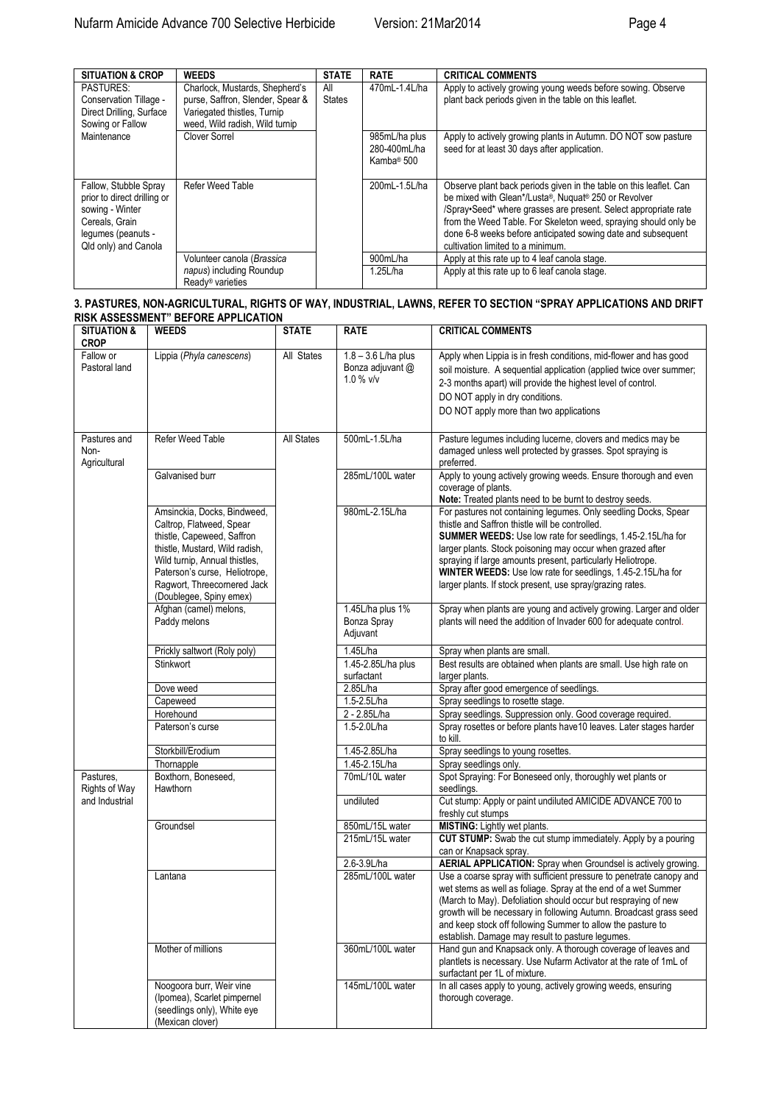| <b>SITUATION &amp; CROP</b>                                                                                                             | <b>WEEDS</b>                                                                                                                        | <b>STATE</b>         | <b>RATE</b>                                             | <b>CRITICAL COMMENTS</b>                                                                                                                                                                                                                                                                                                                                              |
|-----------------------------------------------------------------------------------------------------------------------------------------|-------------------------------------------------------------------------------------------------------------------------------------|----------------------|---------------------------------------------------------|-----------------------------------------------------------------------------------------------------------------------------------------------------------------------------------------------------------------------------------------------------------------------------------------------------------------------------------------------------------------------|
| <b>PASTURES:</b><br>Conservation Tillage -<br>Direct Drilling, Surface<br>Sowing or Fallow                                              | Charlock, Mustards, Shepherd's<br>purse, Saffron, Slender, Spear &<br>Variegated thistles, Turnip<br>weed, Wild radish, Wild turnip | All<br><b>States</b> | 470mL-1.4L/ha                                           | Apply to actively growing young weeds before sowing. Observe<br>plant back periods given in the table on this leaflet.                                                                                                                                                                                                                                                |
| Maintenance                                                                                                                             | Clover Sorrel                                                                                                                       |                      | 985mL/ha plus<br>280-400mL/ha<br>Kamba <sup>®</sup> 500 | Apply to actively growing plants in Autumn. DO NOT sow pasture<br>seed for at least 30 days after application.                                                                                                                                                                                                                                                        |
| Fallow, Stubble Spray<br>prior to direct drilling or<br>sowing - Winter<br>Cereals. Grain<br>lequmes (peanuts -<br>Qld only) and Canola | Refer Weed Table                                                                                                                    |                      | 200mL-1.5L/ha                                           | Observe plant back periods given in the table on this leaflet. Can<br>be mixed with Glean*/Lusta®, Nuquat® 250 or Revolver<br>/Spray•Seed* where grasses are present. Select appropriate rate<br>from the Weed Table. For Skeleton weed, spraying should only be<br>done 6-8 weeks before anticipated sowing date and subsequent<br>cultivation limited to a minimum. |
|                                                                                                                                         | Volunteer canola (Brassica                                                                                                          |                      | 900mL/ha                                                | Apply at this rate up to 4 leaf canola stage.                                                                                                                                                                                                                                                                                                                         |
|                                                                                                                                         | napus) including Roundup<br>Ready <sup>®</sup> varieties                                                                            |                      | 1.25L/ha                                                | Apply at this rate up to 6 leaf canola stage.                                                                                                                                                                                                                                                                                                                         |

#### **3. PASTURES, NON-AGRICULTURAL, RIGHTS OF WAY, INDUSTRIAL, LAWNS, REFER TO SECTION "SPRAY APPLICATIONS AND DRIFT RISK ASSESSMENT" BEFORE APPLICATION**

| <b>SITUATION &amp;</b><br><b>CROP</b> | <b>WEEDS</b>                                                                                                                                                                                                                                        | <b>STATE</b> | <b>RATE</b>                                            | <b>CRITICAL COMMENTS</b>                                                                                                                                                                                                                                                                                                                                                                                                                   |
|---------------------------------------|-----------------------------------------------------------------------------------------------------------------------------------------------------------------------------------------------------------------------------------------------------|--------------|--------------------------------------------------------|--------------------------------------------------------------------------------------------------------------------------------------------------------------------------------------------------------------------------------------------------------------------------------------------------------------------------------------------------------------------------------------------------------------------------------------------|
| Fallow or<br>Pastoral land            | Lippia (Phyla canescens)                                                                                                                                                                                                                            | All States   | $1.8 - 3.6$ L/ha plus<br>Bonza adjuvant @<br>1.0 % v/v | Apply when Lippia is in fresh conditions, mid-flower and has good<br>soil moisture. A sequential application (applied twice over summer;<br>2-3 months apart) will provide the highest level of control.<br>DO NOT apply in dry conditions.<br>DO NOT apply more than two applications                                                                                                                                                     |
| Pastures and<br>Non-<br>Agricultural  | Refer Weed Table                                                                                                                                                                                                                                    | All States   | 500mL-1.5L/ha                                          | Pasture legumes including lucerne, clovers and medics may be<br>damaged unless well protected by grasses. Spot spraying is<br>preferred.                                                                                                                                                                                                                                                                                                   |
|                                       | Galvanised burr                                                                                                                                                                                                                                     |              | 285mL/100L water                                       | Apply to young actively growing weeds. Ensure thorough and even<br>coverage of plants.<br>Note: Treated plants need to be burnt to destroy seeds.                                                                                                                                                                                                                                                                                          |
|                                       | Amsinckia, Docks, Bindweed,<br>Caltrop, Flatweed, Spear<br>thistle, Capeweed, Saffron<br>thistle, Mustard, Wild radish,<br>Wild turnip, Annual thistles,<br>Paterson's curse, Heliotrope,<br>Ragwort, Threecornered Jack<br>(Doublegee, Spiny emex) |              | 980mL-2.15L/ha                                         | For pastures not containing legumes. Only seedling Docks, Spear<br>thistle and Saffron thistle will be controlled.<br>SUMMER WEEDS: Use low rate for seedlings, 1.45-2.15L/ha for<br>larger plants. Stock poisoning may occur when grazed after<br>spraying if large amounts present, particularly Heliotrope.<br>WINTER WEEDS: Use low rate for seedlings, 1.45-2.15L/ha for<br>larger plants. If stock present, use spray/grazing rates. |
|                                       | Afghan (camel) melons,<br>Paddy melons                                                                                                                                                                                                              |              | 1.45L/ha plus 1%<br>Bonza Spray<br>Adjuvant            | Spray when plants are young and actively growing. Larger and older<br>plants will need the addition of Invader 600 for adequate control.                                                                                                                                                                                                                                                                                                   |
|                                       | Prickly saltwort (Roly poly)                                                                                                                                                                                                                        |              | 1.45L/ha                                               | Spray when plants are small.                                                                                                                                                                                                                                                                                                                                                                                                               |
|                                       | Stinkwort                                                                                                                                                                                                                                           |              | 1.45-2.85L/ha plus<br>surfactant                       | Best results are obtained when plants are small. Use high rate on<br>larger plants.                                                                                                                                                                                                                                                                                                                                                        |
|                                       | Dove weed                                                                                                                                                                                                                                           |              | 2.85L/ha                                               | Spray after good emergence of seedlings.                                                                                                                                                                                                                                                                                                                                                                                                   |
|                                       | Capeweed                                                                                                                                                                                                                                            |              | 1.5-2.5L/ha                                            | Spray seedlings to rosette stage.                                                                                                                                                                                                                                                                                                                                                                                                          |
|                                       | Horehound                                                                                                                                                                                                                                           |              | 2 - 2.85L/ha                                           | Spray seedlings. Suppression only. Good coverage required.                                                                                                                                                                                                                                                                                                                                                                                 |
|                                       | Paterson's curse                                                                                                                                                                                                                                    |              | 1.5-2.0L/ha                                            | Spray rosettes or before plants have 10 leaves. Later stages harder<br>to kill.                                                                                                                                                                                                                                                                                                                                                            |
|                                       | Storkbill/Erodium                                                                                                                                                                                                                                   |              | 1.45-2.85L/ha                                          | Spray seedlings to young rosettes.                                                                                                                                                                                                                                                                                                                                                                                                         |
|                                       | Thornapple                                                                                                                                                                                                                                          |              | 1.45-2.15L/ha                                          | Spray seedlings only.                                                                                                                                                                                                                                                                                                                                                                                                                      |
| Pastures,<br>Rights of Way            | Boxthorn, Boneseed,<br>Hawthorn                                                                                                                                                                                                                     |              | 70mL/10L water                                         | Spot Spraying: For Boneseed only, thoroughly wet plants or<br>seedlings.                                                                                                                                                                                                                                                                                                                                                                   |
| and Industrial                        |                                                                                                                                                                                                                                                     |              | undiluted                                              | Cut stump: Apply or paint undiluted AMICIDE ADVANCE 700 to<br>freshly cut stumps                                                                                                                                                                                                                                                                                                                                                           |
|                                       | Groundsel                                                                                                                                                                                                                                           |              | 850mL/15L water                                        | <b>MISTING:</b> Lightly wet plants.                                                                                                                                                                                                                                                                                                                                                                                                        |
|                                       |                                                                                                                                                                                                                                                     |              | 215mL/15L water                                        | CUT STUMP: Swab the cut stump immediately. Apply by a pouring                                                                                                                                                                                                                                                                                                                                                                              |
|                                       |                                                                                                                                                                                                                                                     |              |                                                        | can or Knapsack spray.                                                                                                                                                                                                                                                                                                                                                                                                                     |
|                                       |                                                                                                                                                                                                                                                     |              | 2.6-3.9L/ha                                            | AERIAL APPLICATION: Spray when Groundsel is actively growing.                                                                                                                                                                                                                                                                                                                                                                              |
|                                       | Lantana                                                                                                                                                                                                                                             |              | 285mL/100L water                                       | Use a coarse spray with sufficient pressure to penetrate canopy and<br>wet stems as well as foliage. Spray at the end of a wet Summer<br>(March to May). Defoliation should occur but respraying of new<br>growth will be necessary in following Autumn. Broadcast grass seed<br>and keep stock off following Summer to allow the pasture to<br>establish. Damage may result to pasture legumes.                                           |
|                                       | Mother of millions                                                                                                                                                                                                                                  |              | 360mL/100L water                                       | Hand gun and Knapsack only. A thorough coverage of leaves and<br>plantlets is necessary. Use Nufarm Activator at the rate of 1mL of<br>surfactant per 1L of mixture.                                                                                                                                                                                                                                                                       |
|                                       | Noogoora burr, Weir vine<br>(Ipomea), Scarlet pimpernel<br>(seedlings only), White eye<br>(Mexican clover)                                                                                                                                          |              | 145mL/100L water                                       | In all cases apply to young, actively growing weeds, ensuring<br>thorough coverage.                                                                                                                                                                                                                                                                                                                                                        |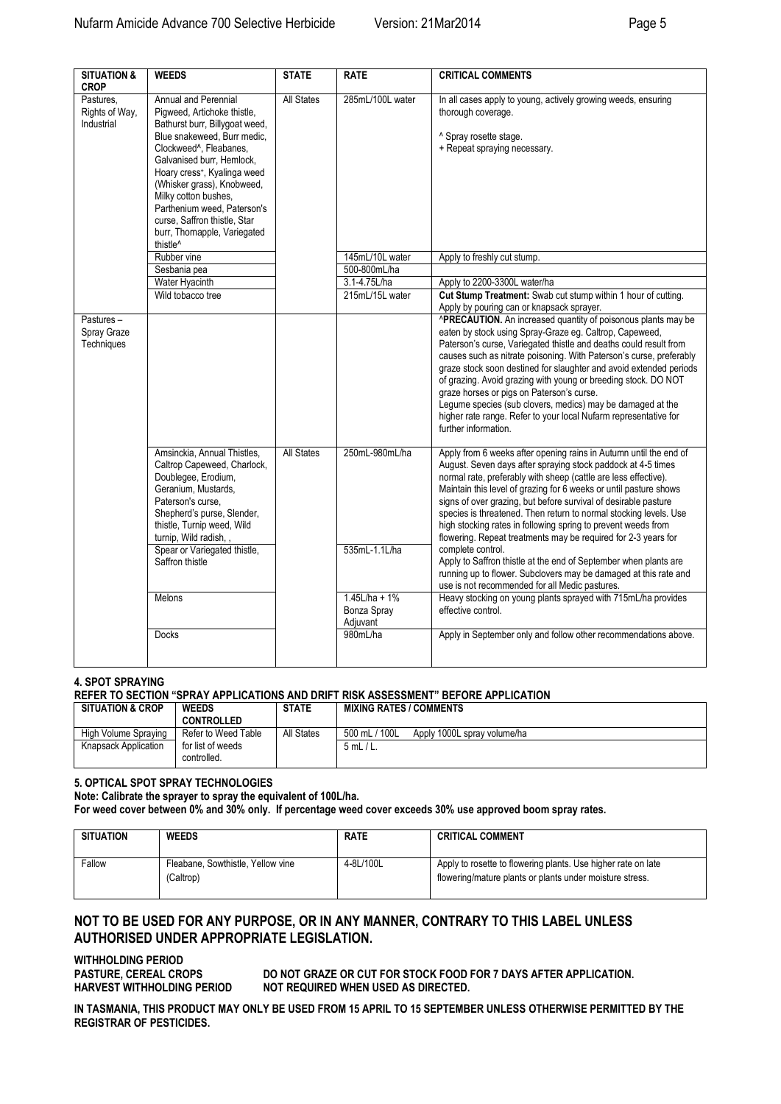| <b>SITUATION &amp;</b><br><b>CROP</b>     | <b>WEEDS</b>                                                                                                                                                                                                                                                                                                                                                                                         | <b>STATE</b>      | <b>RATE</b>                                                       | <b>CRITICAL COMMENTS</b>                                                                                                                                                                                                                                                                                                                                                                                                                                                                                                                                                                                                                                                                                                                                                                                                                                   |
|-------------------------------------------|------------------------------------------------------------------------------------------------------------------------------------------------------------------------------------------------------------------------------------------------------------------------------------------------------------------------------------------------------------------------------------------------------|-------------------|-------------------------------------------------------------------|------------------------------------------------------------------------------------------------------------------------------------------------------------------------------------------------------------------------------------------------------------------------------------------------------------------------------------------------------------------------------------------------------------------------------------------------------------------------------------------------------------------------------------------------------------------------------------------------------------------------------------------------------------------------------------------------------------------------------------------------------------------------------------------------------------------------------------------------------------|
| Pastures,<br>Rights of Way,<br>Industrial | Annual and Perennial<br>Pigweed, Artichoke thistle,<br>Bathurst burr, Billygoat weed,<br>Blue snakeweed. Burr medic.<br>Clockweed^, Fleabanes,<br>Galvanised burr. Hemlock.<br>Hoary cress <sup>+</sup> , Kyalinga weed<br>(Whisker grass), Knobweed,<br>Milky cotton bushes,<br>Parthenium weed. Paterson's<br>curse, Saffron thistle, Star<br>burr, Thornapple, Variegated<br>thistle <sup>^</sup> | <b>All States</b> | 285mL/100L water                                                  | In all cases apply to young, actively growing weeds, ensuring<br>thorough coverage.<br>^ Spray rosette stage.<br>+ Repeat spraying necessary.                                                                                                                                                                                                                                                                                                                                                                                                                                                                                                                                                                                                                                                                                                              |
|                                           | Rubber vine                                                                                                                                                                                                                                                                                                                                                                                          |                   | 145mL/10L water                                                   | Apply to freshly cut stump.                                                                                                                                                                                                                                                                                                                                                                                                                                                                                                                                                                                                                                                                                                                                                                                                                                |
|                                           | Sesbania pea                                                                                                                                                                                                                                                                                                                                                                                         |                   | 500-800mL/ha                                                      |                                                                                                                                                                                                                                                                                                                                                                                                                                                                                                                                                                                                                                                                                                                                                                                                                                                            |
|                                           | Water Hyacinth<br>Wild tobacco tree                                                                                                                                                                                                                                                                                                                                                                  |                   | 3.1-4.75L/ha<br>215mL/15L water                                   | Apply to 2200-3300L water/ha<br>Cut Stump Treatment: Swab cut stump within 1 hour of cutting.                                                                                                                                                                                                                                                                                                                                                                                                                                                                                                                                                                                                                                                                                                                                                              |
|                                           |                                                                                                                                                                                                                                                                                                                                                                                                      |                   |                                                                   | Apply by pouring can or knapsack sprayer.                                                                                                                                                                                                                                                                                                                                                                                                                                                                                                                                                                                                                                                                                                                                                                                                                  |
| Pastures-<br>Spray Graze<br>Techniques    |                                                                                                                                                                                                                                                                                                                                                                                                      |                   |                                                                   | <b>^PRECAUTION.</b> An increased quantity of poisonous plants may be<br>eaten by stock using Spray-Graze eg. Caltrop, Capeweed,<br>Paterson's curse, Variegated thistle and deaths could result from<br>causes such as nitrate poisoning. With Paterson's curse, preferably<br>graze stock soon destined for slaughter and avoid extended periods<br>of grazing. Avoid grazing with young or breeding stock. DO NOT<br>graze horses or pigs on Paterson's curse.<br>Legume species (sub clovers, medics) may be damaged at the<br>higher rate range. Refer to your local Nufarm representative for<br>further information.                                                                                                                                                                                                                                 |
|                                           | Amsinckia, Annual Thistles,<br>Caltrop Capeweed, Charlock,<br>Doublegee, Erodium,<br>Geranium, Mustards,<br>Paterson's curse,<br>Shepherd's purse, Slender,<br>thistle, Turnip weed, Wild<br>turnip, Wild radish,<br>Spear or Variegated thistle,<br>Saffron thistle<br>Melons                                                                                                                       | <b>All States</b> | 250mL-980mL/ha<br>535mL-1.1L/ha<br>$1.45L/ha + 1%$<br>Bonza Spray | Apply from 6 weeks after opening rains in Autumn until the end of<br>August. Seven days after spraying stock paddock at 4-5 times<br>normal rate, preferably with sheep (cattle are less effective).<br>Maintain this level of grazing for 6 weeks or until pasture shows<br>signs of over grazing, but before survival of desirable pasture<br>species is threatened. Then return to normal stocking levels. Use<br>high stocking rates in following spring to prevent weeds from<br>flowering. Repeat treatments may be required for 2-3 years for<br>complete control.<br>Apply to Saffron thistle at the end of September when plants are<br>running up to flower. Subclovers may be damaged at this rate and<br>use is not recommended for all Medic pastures.<br>Heavy stocking on young plants sprayed with 715mL/ha provides<br>effective control. |
|                                           | <b>Docks</b>                                                                                                                                                                                                                                                                                                                                                                                         |                   | Adjuvant<br>980mL/ha                                              | Apply in September only and follow other recommendations above.                                                                                                                                                                                                                                                                                                                                                                                                                                                                                                                                                                                                                                                                                                                                                                                            |
|                                           |                                                                                                                                                                                                                                                                                                                                                                                                      |                   |                                                                   |                                                                                                                                                                                                                                                                                                                                                                                                                                                                                                                                                                                                                                                                                                                                                                                                                                                            |

### **4. SPOT SPRAYING**

# **REFER TO SECTION "SPRAY APPLICATIONS AND DRIFT RISK ASSESSMENT" BEFORE APPLICATION**

| <b>SITUATION &amp; CROP</b> | <b>WEEDS</b>                     | <b>STATE</b> | <b>MIXING RATES / COMMENTS</b>               |
|-----------------------------|----------------------------------|--------------|----------------------------------------------|
|                             | <b>CONTROLLED</b>                |              |                                              |
| High Volume Spraving        | Refer to Weed Table              | All States   | 500 mL / 100L<br>Apply 1000L spray volume/ha |
| Knapsack Application        | for list of weeds<br>controlled. |              | $5mL/L$ .                                    |

**5. OPTICAL SPOT SPRAY TECHNOLOGIES**

**Note: Calibrate the sprayer to spray the equivalent of 100L/ha.**

**For weed cover between 0% and 30% only. If percentage weed cover exceeds 30% use approved boom spray rates.** 

| <b>SITUATION</b> | <b>WEEDS</b>                                   | <b>RATE</b> | <b>CRITICAL COMMENT</b>                                                                                                   |
|------------------|------------------------------------------------|-------------|---------------------------------------------------------------------------------------------------------------------------|
| Fallow           | Fleabane, Sowthistle, Yellow vine<br>(Caltrop) | 4-8L/100L   | Apply to rosette to flowering plants. Use higher rate on late<br>flowering/mature plants or plants under moisture stress. |

# **NOT TO BE USED FOR ANY PURPOSE, OR IN ANY MANNER, CONTRARY TO THIS LABEL UNLESS AUTHORISED UNDER APPROPRIATE LEGISLATION.**

**WITHHOLDING PERIOD** 

**PASTURE, CEREAL CROPS DO NOT GRAZE OR CUT FOR STOCK FOOD FOR 7 DAYS AFTER APPLICATION. HARVEST WITHHOLDING PERIOD NOT REQUIRED WHEN USED AS DIRECTED.**

**IN TASMANIA, THIS PRODUCT MAY ONLY BE USED FROM 15 APRIL TO 15 SEPTEMBER UNLESS OTHERWISE PERMITTED BY THE REGISTRAR OF PESTICIDES.**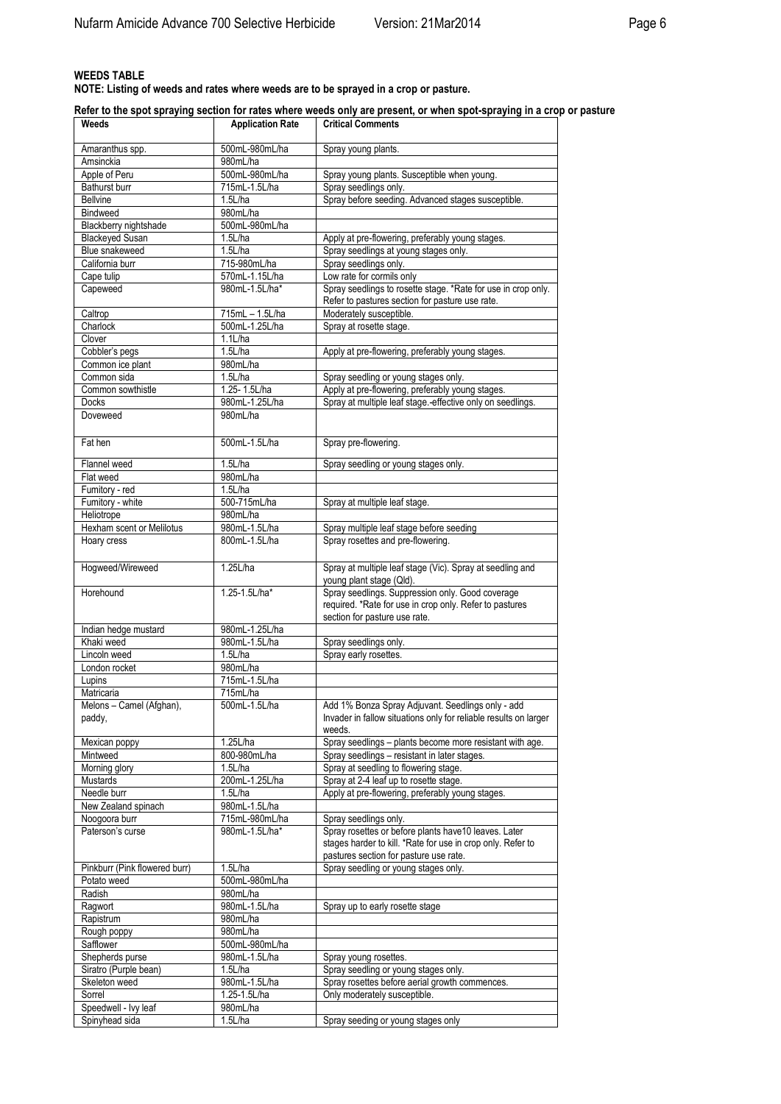# **WEEDS TABLE**

**NOTE: Listing of weeds and rates where weeds are to be sprayed in a crop or pasture.**

**Refer to the spot spraying section for rates where weeds only are present, or when spot-spraying in a crop or pasture**

| <b>Application Rate</b><br>Weeds  |                 | <b>Critical Comments</b>                                                                                                                     |  |  |  |
|-----------------------------------|-----------------|----------------------------------------------------------------------------------------------------------------------------------------------|--|--|--|
| Amaranthus spp.                   | 500mL-980mL/ha  | Spray young plants.                                                                                                                          |  |  |  |
| Amsinckia                         | 980mL/ha        |                                                                                                                                              |  |  |  |
| Apple of Peru                     | 500mL-980mL/ha  | Spray young plants. Susceptible when young.                                                                                                  |  |  |  |
| Bathurst burr                     | 715mL-1.5L/ha   | Spray seedlings only.                                                                                                                        |  |  |  |
| <b>Bellvine</b>                   | 1.5L/ha         | Spray before seeding. Advanced stages susceptible.                                                                                           |  |  |  |
| <b>Bindweed</b>                   | 980mL/ha        |                                                                                                                                              |  |  |  |
| Blackberry nightshade             | 500mL-980mL/ha  |                                                                                                                                              |  |  |  |
| <b>Blackeyed Susan</b>            | 1.5L/ha         | Apply at pre-flowering, preferably young stages.                                                                                             |  |  |  |
| Blue snakeweed                    | 1.5L/ha         |                                                                                                                                              |  |  |  |
| California burr                   | 715-980mL/ha    | Spray seedlings at young stages only.                                                                                                        |  |  |  |
|                                   |                 | Spray seedlings only.                                                                                                                        |  |  |  |
| Cape tulip                        | 570mL-1.15L/ha  | Low rate for cormils only                                                                                                                    |  |  |  |
| Capeweed                          | 980mL-1.5L/ha*  | Spray seedlings to rosette stage. *Rate for use in crop only.<br>Refer to pastures section for pasture use rate.                             |  |  |  |
| Caltrop                           | 715mL - 1.5L/ha | Moderately susceptible.                                                                                                                      |  |  |  |
| Charlock                          | 500mL-1.25L/ha  | Spray at rosette stage.                                                                                                                      |  |  |  |
| Clover                            | 1.1L/ha         |                                                                                                                                              |  |  |  |
| Cobbler's pegs                    | 1.5L/ha         | Apply at pre-flowering, preferably young stages.                                                                                             |  |  |  |
| Common ice plant                  | 980mL/ha        |                                                                                                                                              |  |  |  |
| Common sida                       | 1.5L/ha         | Spray seedling or young stages only.                                                                                                         |  |  |  |
| Common sowthistle                 | 1.25-1.5L/ha    | Apply at pre-flowering, preferably young stages.                                                                                             |  |  |  |
| <b>Docks</b>                      | 980mL-1.25L/ha  | Spray at multiple leaf stage.-effective only on seedlings.                                                                                   |  |  |  |
| Doveweed                          | 980mL/ha        |                                                                                                                                              |  |  |  |
|                                   |                 |                                                                                                                                              |  |  |  |
| Fat hen                           | 500mL-1.5L/ha   | Spray pre-flowering.                                                                                                                         |  |  |  |
| Flannel weed                      | 1.5L/ha         | Spray seedling or young stages only.                                                                                                         |  |  |  |
| Flat weed                         | 980mL/ha        |                                                                                                                                              |  |  |  |
| Fumitory - red                    | 1.5L/ha         |                                                                                                                                              |  |  |  |
| Fumitory - white                  | 500-715mL/ha    | Spray at multiple leaf stage.                                                                                                                |  |  |  |
| Heliotrope                        | 980mL/ha        |                                                                                                                                              |  |  |  |
| Hexham scent or Melilotus         | 980mL-1.5L/ha   |                                                                                                                                              |  |  |  |
|                                   |                 | Spray multiple leaf stage before seeding                                                                                                     |  |  |  |
| Hoary cress                       | 800mL-1.5L/ha   | Spray rosettes and pre-flowering.                                                                                                            |  |  |  |
| Hogweed/Wireweed                  | 1.25L/ha        | Spray at multiple leaf stage (Vic). Spray at seedling and<br>young plant stage (Qld).                                                        |  |  |  |
| Horehound                         | 1.25-1.5L/ha*   | Spray seedlings. Suppression only. Good coverage<br>required. *Rate for use in crop only. Refer to pastures<br>section for pasture use rate. |  |  |  |
| Indian hedge mustard              | 980mL-1.25L/ha  |                                                                                                                                              |  |  |  |
| Khaki weed                        | 980mL-1.5L/ha   | Spray seedlings only.                                                                                                                        |  |  |  |
| Lincoln weed                      | 1.5L/ha         | Spray early rosettes.                                                                                                                        |  |  |  |
|                                   |                 |                                                                                                                                              |  |  |  |
| London rocket                     | 980mL/ha        |                                                                                                                                              |  |  |  |
| Lupins                            | 715mL-1.5L/ha   |                                                                                                                                              |  |  |  |
| Matricaria                        | 715mL/ha        |                                                                                                                                              |  |  |  |
| Melons - Camel (Afghan)<br>paddy, | 500mL-1.5L/ha   | Add 1% Bonza Spray Adjuvant. Seedlings only - add<br>Invader in fallow situations only for reliable results on larger<br>weeds.              |  |  |  |
| Mexican poppy                     | 1.25L/ha        | Spray seedlings - plants become more resistant with age.                                                                                     |  |  |  |
| Mintweed                          | 800-980mL/ha    | Spray seedlings - resistant in later stages.                                                                                                 |  |  |  |
| Morning glory                     | 1.5L/ha         | Spray at seedling to flowering stage.                                                                                                        |  |  |  |
| Mustards                          | 200mL-1.25L/ha  | Spray at 2-4 leaf up to rosette stage.                                                                                                       |  |  |  |
| Needle burr                       | 1.5L/ha         | Apply at pre-flowering, preferably young stages.                                                                                             |  |  |  |
| New Zealand spinach               | 980mL-1.5L/ha   |                                                                                                                                              |  |  |  |
| Noogoora burr                     | 715mL-980mL/ha  | Spray seedlings only.                                                                                                                        |  |  |  |
| Paterson's curse                  | 980mL-1.5L/ha*  | Spray rosettes or before plants have 10 leaves. Later                                                                                        |  |  |  |
|                                   |                 | stages harder to kill. *Rate for use in crop only. Refer to<br>pastures section for pasture use rate.                                        |  |  |  |
| Pinkburr (Pink flowered burr)     | 1.5L/ha         | Spray seedling or young stages only.                                                                                                         |  |  |  |
| Potato weed                       | 500mL-980mL/ha  |                                                                                                                                              |  |  |  |
| Radish                            | 980mL/ha        |                                                                                                                                              |  |  |  |
| Ragwort                           | 980mL-1.5L/ha   | Spray up to early rosette stage                                                                                                              |  |  |  |
| Rapistrum                         | 980mL/ha        |                                                                                                                                              |  |  |  |
| Rough poppy                       | 980mL/ha        |                                                                                                                                              |  |  |  |
|                                   |                 |                                                                                                                                              |  |  |  |
| Safflower                         | 500mL-980mL/ha  |                                                                                                                                              |  |  |  |
| Shepherds purse                   | 980mL-1.5L/ha   | Spray young rosettes.                                                                                                                        |  |  |  |
| Siratro (Purple bean)             | 1.5L/ha         | Spray seedling or young stages only.                                                                                                         |  |  |  |
| Skeleton weed                     | 980mL-1.5L/ha   | Spray rosettes before aerial growth commences.                                                                                               |  |  |  |
| Sorrel                            | 1.25-1.5L/ha    | Only moderately susceptible.                                                                                                                 |  |  |  |
| Speedwell - Ivy leaf              | 980mL/ha        |                                                                                                                                              |  |  |  |
| Spinyhead sida                    | 1.5L/ha         | Spray seeding or young stages only                                                                                                           |  |  |  |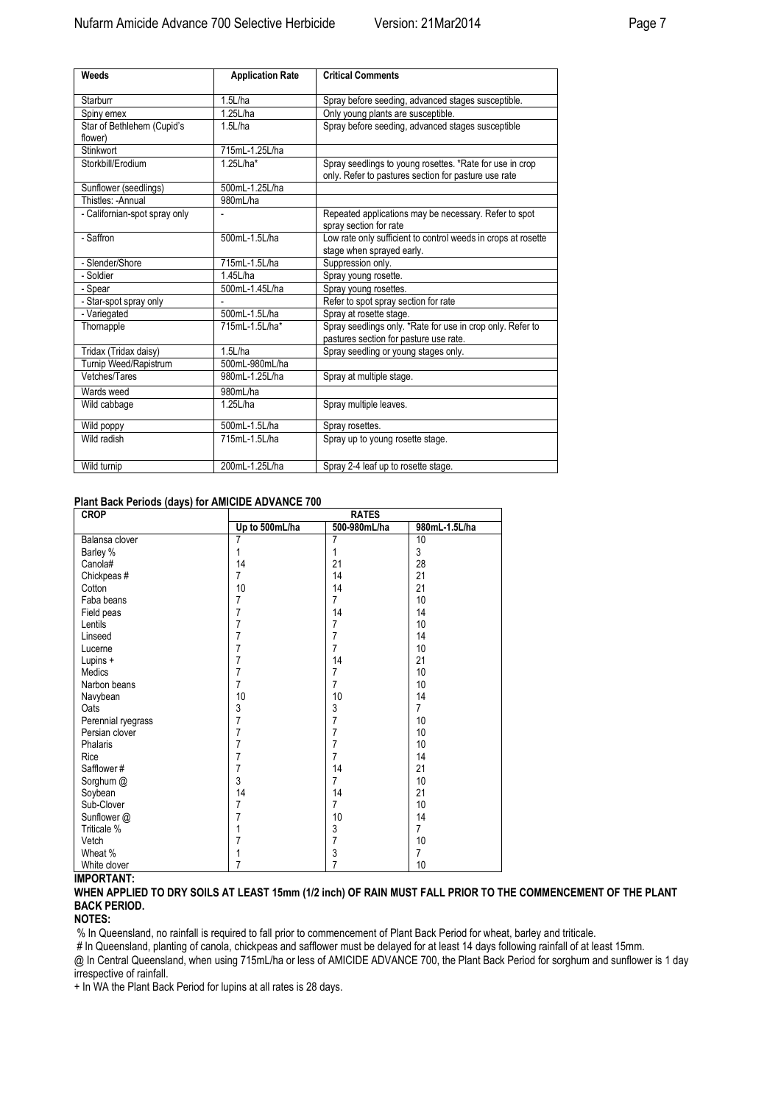| Weeds                         | <b>Application Rate</b> | <b>Critical Comments</b>                                      |
|-------------------------------|-------------------------|---------------------------------------------------------------|
| Starburr                      | 1.5L/ha                 | Spray before seeding, advanced stages susceptible.            |
| Spiny emex                    | 1.25L/ha                | Only young plants are susceptible.                            |
| Star of Bethlehem (Cupid's    | 1.5L/ha                 | Spray before seeding, advanced stages susceptible             |
| flower)                       |                         |                                                               |
| Stinkwort                     | 715mL-1.25L/ha          |                                                               |
| Storkbill/Erodium             | 1.25L/ha*               | Spray seedlings to young rosettes. *Rate for use in crop      |
|                               |                         | only. Refer to pastures section for pasture use rate          |
| Sunflower (seedlings)         | 500mL-1.25L/ha          |                                                               |
| Thistles: - Annual            | 980mL/ha                |                                                               |
| - Californian-spot spray only |                         | Repeated applications may be necessary. Refer to spot         |
|                               |                         | spray section for rate                                        |
| - Saffron                     | 500mL-1.5L/ha           | Low rate only sufficient to control weeds in crops at rosette |
|                               |                         | stage when sprayed early.                                     |
| - Slender/Shore               | 715mL-1.5L/ha           | Suppression only.                                             |
| - Soldier                     | 1.45L/ha                | Spray young rosette.                                          |
| - Spear                       | 500mL-1.45L/ha          | Spray young rosettes.                                         |
| - Star-spot spray only        |                         | Refer to spot spray section for rate                          |
| - Variegated                  | 500mL-1.5L/ha           | Spray at rosette stage.                                       |
| Thornapple                    | 715mL-1.5L/ha*          | Spray seedlings only. *Rate for use in crop only. Refer to    |
|                               |                         | pastures section for pasture use rate.                        |
| Tridax (Tridax daisy)         | 1.5L/ha                 | Spray seedling or young stages only.                          |
| Turnip Weed/Rapistrum         | 500mL-980mL/ha          |                                                               |
| Vetches/Tares                 | 980mL-1.25L/ha          | Spray at multiple stage.                                      |
| Wards weed                    | 980mL/ha                |                                                               |
| Wild cabbage                  | 1.25L/ha                | Spray multiple leaves.                                        |
| Wild poppy                    | 500mL-1.5L/ha           | Spray rosettes.                                               |
| Wild radish                   | 715mL-1.5L/ha           | Spray up to young rosette stage.                              |
| Wild turnip                   | 200mL-1.25L/ha          | Spray 2-4 leaf up to rosette stage.                           |

# **Plant Back Periods (days) for AMICIDE ADVANCE 700**

| <b>CROP</b>        | <b>RATES</b>   |                |                |  |  |
|--------------------|----------------|----------------|----------------|--|--|
|                    | Up to 500mL/ha | 500-980mL/ha   | 980mL-1.5L/ha  |  |  |
| Balansa clover     | 7              | 7              | 10             |  |  |
| Barley %           | 1              | 1              | 3              |  |  |
| Canola#            | 14             | 21             | 28             |  |  |
| Chickpeas#         | 7              | 14             | 21             |  |  |
| Cotton             | 10             | 14             | 21             |  |  |
| Faba beans         | 7              | 7              | 10             |  |  |
| Field peas         | 7              | 14             | 14             |  |  |
| Lentils            | 7              | 7              | 10             |  |  |
| Linseed            | 7              | 7              | 14             |  |  |
| Luceme             | 7              | $\overline{7}$ | 10             |  |  |
| Lupins +           | 7              | 14             | 21             |  |  |
| Medics             | 7              | 7              | 10             |  |  |
| Narbon beans       | $\overline{7}$ | $\overline{7}$ | 10             |  |  |
| Navybean           | 10             | 10             | 14             |  |  |
| Oats               | 3              | 3              | $\overline{7}$ |  |  |
| Perennial ryegrass | 7              | 7              | 10             |  |  |
| Persian clover     | 7              | 7              | 10             |  |  |
| Phalaris           | 7              | 7              | 10             |  |  |
| Rice               | 7              | $\overline{7}$ | 14             |  |  |
| Safflower#         | 7              | 14             | 21             |  |  |
| Sorghum @          | 3              | 7              | 10             |  |  |
| Soybean            | 14             | 14             | 21             |  |  |
| Sub-Clover         | 7              | 7              | 10             |  |  |
| Sunflower @        | 7              | 10             | 14             |  |  |
| Triticale %        | 1              | 3              | $\overline{7}$ |  |  |
| Vetch              | 7              | 7              | 10             |  |  |
| Wheat %            |                | 3              | $\overline{7}$ |  |  |
| White clover       | 7              | 7              | 10             |  |  |

# **IMPORTANT:**

**WHEN APPLIED TO DRY SOILS AT LEAST 15mm (1/2 inch) OF RAIN MUST FALL PRIOR TO THE COMMENCEMENT OF THE PLANT BACK PERIOD.** 

#### **NOTES:**

% In Queensland, no rainfall is required to fall prior to commencement of Plant Back Period for wheat, barley and triticale.

# In Queensland, planting of canola, chickpeas and safflower must be delayed for at least 14 days following rainfall of at least 15mm.

@ In Central Queensland, when using 715mL/ha or less of AMICIDE ADVANCE 700, the Plant Back Period for sorghum and sunflower is 1 day

irrespective of rainfall.

+ In WA the Plant Back Period for lupins at all rates is 28 days.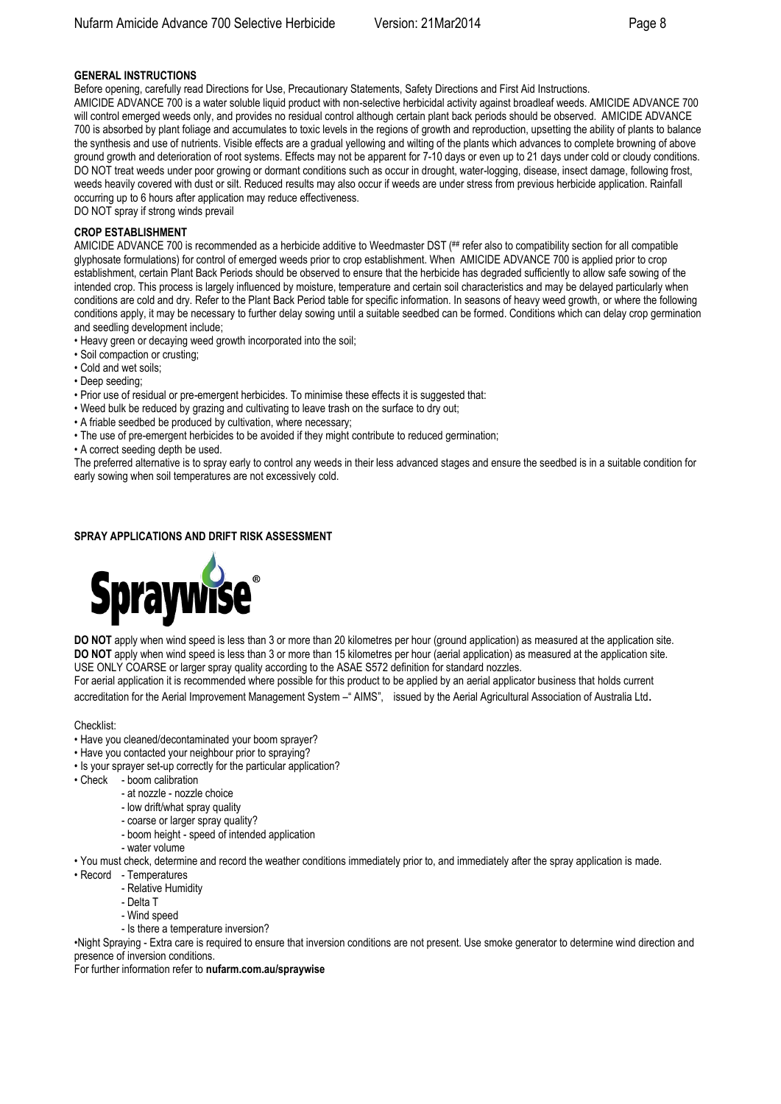# **GENERAL INSTRUCTIONS**

Before opening, carefully read Directions for Use, Precautionary Statements, Safety Directions and First Aid Instructions. AMICIDE ADVANCE 700 is a water soluble liquid product with non-selective herbicidal activity against broadleaf weeds. AMICIDE ADVANCE 700 will control emerged weeds only, and provides no residual control although certain plant back periods should be observed. AMICIDE ADVANCE 700 is absorbed by plant foliage and accumulates to toxic levels in the regions of growth and reproduction, upsetting the ability of plants to balance the synthesis and use of nutrients. Visible effects are a gradual yellowing and wilting of the plants which advances to complete browning of above ground growth and deterioration of root systems. Effects may not be apparent for 7-10 days or even up to 21 days under cold or cloudy conditions. DO NOT treat weeds under poor growing or dormant conditions such as occur in drought, water-logging, disease, insect damage, following frost, weeds heavily covered with dust or silt. Reduced results may also occur if weeds are under stress from previous herbicide application. Rainfall occurring up to 6 hours after application may reduce effectiveness.

DO NOT spray if strong winds prevail

# **CROP ESTABLISHMENT**

AMICIDE ADVANCE 700 is recommended as a herbicide additive to Weedmaster DST (## refer also to compatibility section for all compatible glyphosate formulations) for control of emerged weeds prior to crop establishment. When AMICIDE ADVANCE 700 is applied prior to crop establishment, certain Plant Back Periods should be observed to ensure that the herbicide has degraded sufficiently to allow safe sowing of the intended crop. This process is largely influenced by moisture, temperature and certain soil characteristics and may be delayed particularly when conditions are cold and dry. Refer to the Plant Back Period table for specific information. In seasons of heavy weed growth, or where the following conditions apply, it may be necessary to further delay sowing until a suitable seedbed can be formed. Conditions which can delay crop germination and seedling development include;

• Heavy green or decaying weed growth incorporated into the soil;

- Soil compaction or crusting;
- Cold and wet soils;
- Deep seeding;
- Prior use of residual or pre-emergent herbicides. To minimise these effects it is suggested that:
- Weed bulk be reduced by grazing and cultivating to leave trash on the surface to dry out;
- A friable seedbed be produced by cultivation, where necessary;
- The use of pre-emergent herbicides to be avoided if they might contribute to reduced germination;

• A correct seeding depth be used.

The preferred alternative is to spray early to control any weeds in their less advanced stages and ensure the seedbed is in a suitable condition for early sowing when soil temperatures are not excessively cold.

# **SPRAY APPLICATIONS AND DRIFT RISK ASSESSMENT**



**DO NOT** apply when wind speed is less than 3 or more than 20 kilometres per hour (ground application) as measured at the application site. **DO NOT** apply when wind speed is less than 3 or more than 15 kilometres per hour (aerial application) as measured at the application site. USE ONLY COARSE or larger spray quality according to the ASAE S572 definition for standard nozzles.

For aerial application it is recommended where possible for this product to be applied by an aerial applicator business that holds current accreditation for the Aerial Improvement Management System –" AIMS", issued by the Aerial Agricultural Association of Australia Ltd.

Checklist:

- Have you cleaned/decontaminated your boom sprayer?
- Have you contacted your neighbour prior to spraying?
- Is your sprayer set-up correctly for the particular application?
- Check boom calibration
	- at nozzle nozzle choice
		- low drift/what spray quality
		- coarse or larger spray quality?
		- boom height speed of intended application
		- water volume
- You must check, determine and record the weather conditions immediately prior to, and immediately after the spray application is made.
- Record Temperatures
	- Relative Humidity
	- Delta T
	- Wind speed
	- Is there a temperature inversion?

•Night Spraying - Extra care is required to ensure that inversion conditions are not present. Use smoke generator to determine wind direction and presence of inversion conditions.

For further information refer to **nufarm.com.au/spraywise**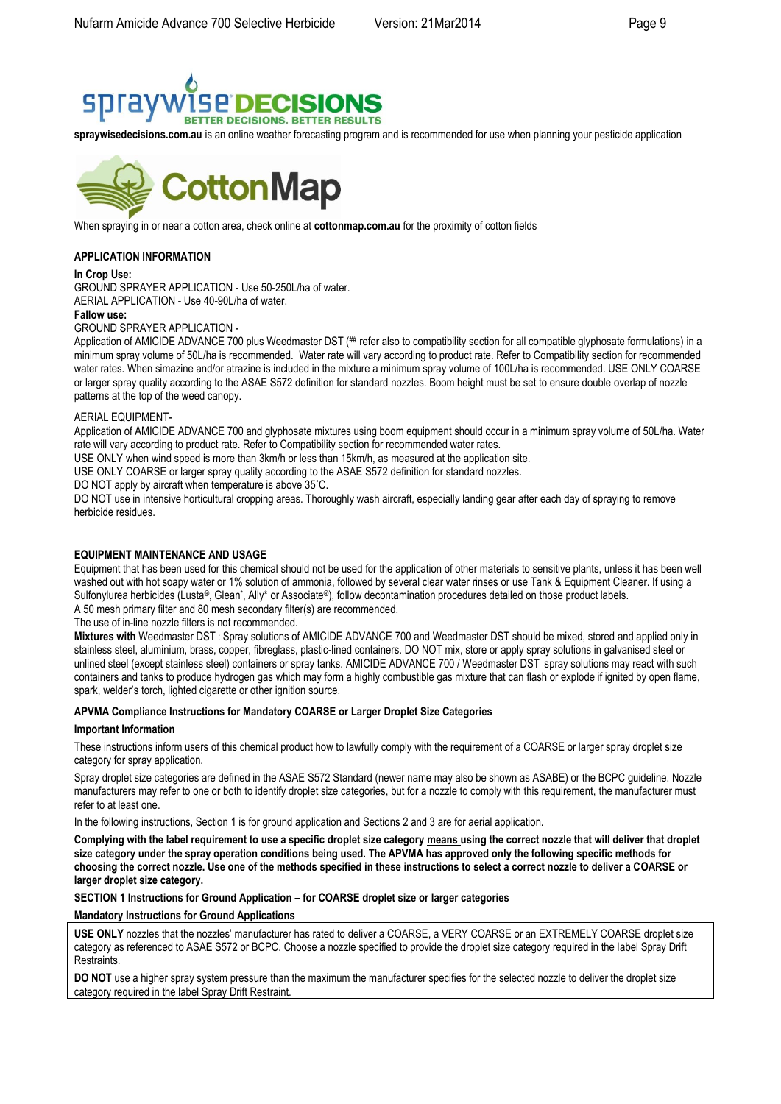

**spraywisedecisions.com.au** is an online weather forecasting program and is recommended for use when planning your pesticide application



When spraying in or near a cotton area, check online at **cottonmap.com.au** for the proximity of cotton fields

# **APPLICATION INFORMATION**

#### **In Crop Use:**

GROUND SPRAYER APPLICATION - Use 50-250L/ha of water.

AERIAL APPLICATION - Use 40-90L/ha of water.

**Fallow use:**

GROUND SPRAYER APPLICATION -

Application of AMICIDE ADVANCE 700 plus Weedmaster DST (## refer also to compatibility section for all compatible glyphosate formulations) in a minimum spray volume of 50L/ha is recommended. Water rate will vary according to product rate. Refer to Compatibility section for recommended water rates. When simazine and/or atrazine is included in the mixture a minimum spray volume of 100L/ha is recommended. USE ONLY COARSE or larger spray quality according to the ASAE S572 definition for standard nozzles. Boom height must be set to ensure double overlap of nozzle patterns at the top of the weed canopy.

#### AERIAL EQUIPMENT-

Application of AMICIDE ADVANCE 700 and glyphosate mixtures using boom equipment should occur in a minimum spray volume of 50L/ha. Water rate will vary according to product rate. Refer to Compatibility section for recommended water rates.

USE ONLY when wind speed is more than 3km/h or less than 15km/h, as measured at the application site.

USE ONLY COARSE or larger spray quality according to the ASAE S572 definition for standard nozzles.

DO NOT apply by aircraft when temperature is above 35°C.

DO NOT use in intensive horticultural cropping areas. Thoroughly wash aircraft, especially landing gear after each day of spraying to remove herbicide residues.

### **EQUIPMENT MAINTENANCE AND USAGE**

Equipment that has been used for this chemical should not be used for the application of other materials to sensitive plants, unless it has been well washed out with hot soapy water or 1% solution of ammonia, followed by several clear water rinses or use Tank & Equipment Cleaner. If using a Sulfonylurea herbicides (Lusta®, Glean\*, Ally\* or Associate®), follow decontamination procedures detailed on those product labels. A 50 mesh primary filter and 80 mesh secondary filter(s) are recommended.

The use of in-line nozzle filters is not recommended.

**Mixtures with** Weedmaster DST : Spray solutions of AMICIDE ADVANCE 700 and Weedmaster DST should be mixed, stored and applied only in stainless steel, aluminium, brass, copper, fibreglass, plastic-lined containers. DO NOT mix, store or apply spray solutions in galvanised steel or unlined steel (except stainless steel) containers or spray tanks. AMICIDE ADVANCE 700 / Weedmaster DST spray solutions may react with such containers and tanks to produce hydrogen gas which may form a highly combustible gas mixture that can flash or explode if ignited by open flame, spark, welder's torch, lighted cigarette or other ignition source.

# **APVMA Compliance Instructions for Mandatory COARSE or Larger Droplet Size Categories**

#### **Important Information**

These instructions inform users of this chemical product how to lawfully comply with the requirement of a COARSE or larger spray droplet size category for spray application.

Spray droplet size categories are defined in the ASAE S572 Standard (newer name may also be shown as ASABE) or the BCPC guideline. Nozzle manufacturers may refer to one or both to identify droplet size categories, but for a nozzle to comply with this requirement, the manufacturer must refer to at least one.

In the following instructions, Section 1 is for ground application and Sections 2 and 3 are for aerial application.

**Complying with the label requirement to use a specific droplet size category means using the correct nozzle that will deliver that droplet size category under the spray operation conditions being used. The APVMA has approved only the following specific methods for choosing the correct nozzle. Use one of the methods specified in these instructions to select a correct nozzle to deliver a COARSE or larger droplet size category.** 

**SECTION 1 Instructions for Ground Application – for COARSE droplet size or larger categories** 

#### **Mandatory Instructions for Ground Applications**

**USE ONLY** nozzles that the nozzles' manufacturer has rated to deliver a COARSE, a VERY COARSE or an EXTREMELY COARSE droplet size category as referenced to ASAE S572 or BCPC. Choose a nozzle specified to provide the droplet size category required in the label Spray Drift Restraints.

**DO NOT** use a higher spray system pressure than the maximum the manufacturer specifies for the selected nozzle to deliver the droplet size category required in the label Spray Drift Restraint.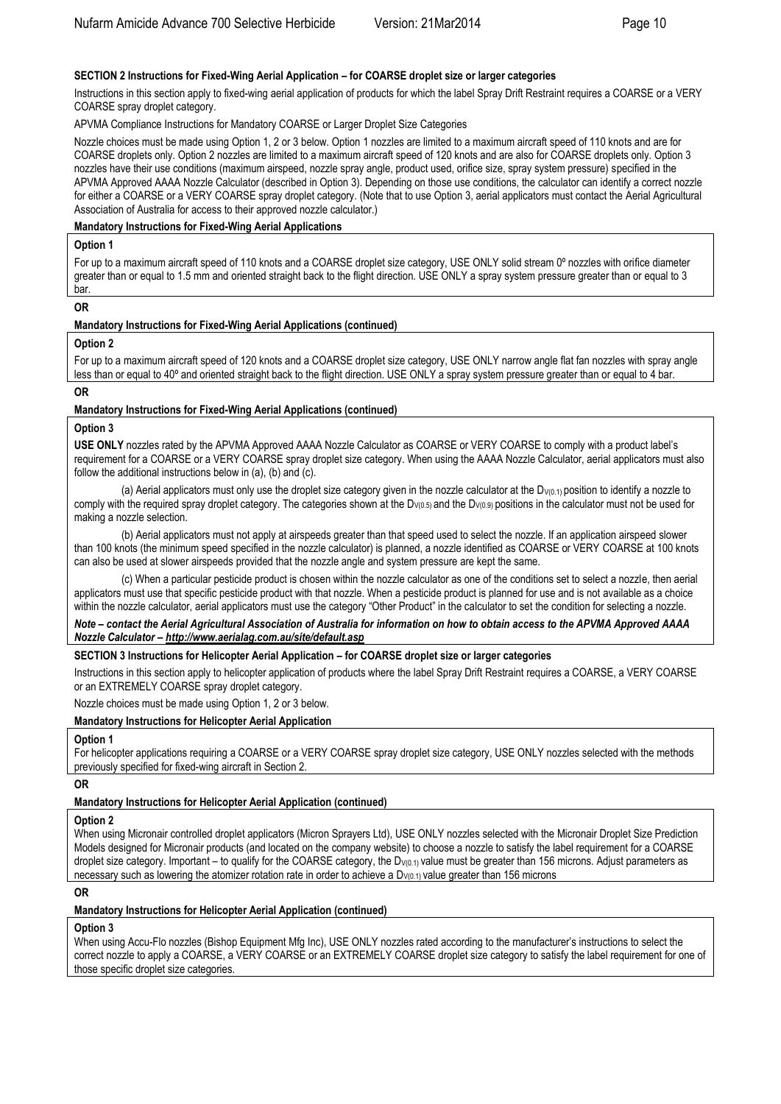# **SECTION 2 Instructions for Fixed-Wing Aerial Application – for COARSE droplet size or larger categories**

Instructions in this section apply to fixed-wing aerial application of products for which the label Spray Drift Restraint requires a COARSE or a VERY COARSE spray droplet category.

APVMA Compliance Instructions for Mandatory COARSE or Larger Droplet Size Categories

Nozzle choices must be made using Option 1, 2 or 3 below. Option 1 nozzles are limited to a maximum aircraft speed of 110 knots and are for COARSE droplets only. Option 2 nozzles are limited to a maximum aircraft speed of 120 knots and are also for COARSE droplets only. Option 3 nozzles have their use conditions (maximum airspeed, nozzle spray angle, product used, orifice size, spray system pressure) specified in the APVMA Approved AAAA Nozzle Calculator (described in Option 3). Depending on those use conditions, the calculator can identify a correct nozzle for either a COARSE or a VERY COARSE spray droplet category. (Note that to use Option 3, aerial applicators must contact the Aerial Agricultural Association of Australia for access to their approved nozzle calculator.)

### **Mandatory Instructions for Fixed-Wing Aerial Applications**

#### **Option 1**

For up to a maximum aircraft speed of 110 knots and a COARSE droplet size category, USE ONLY solid stream 0° nozzles with orifice diameter greater than or equal to 1.5 mm and oriented straight back to the flight direction. USE ONLY a spray system pressure greater than or equal to 3 bar.

### **OR**

# **Mandatory Instructions for Fixed-Wing Aerial Applications (continued)**

### **Option 2**

For up to a maximum aircraft speed of 120 knots and a COARSE droplet size category, USE ONLY narrow angle flat fan nozzles with spray angle less than or equal to 40º and oriented straight back to the flight direction. USE ONLY a spray system pressure greater than or equal to 4 bar.

### **OR**

### **Mandatory Instructions for Fixed-Wing Aerial Applications (continued)**

### **Option 3**

**USE ONLY** nozzles rated by the APVMA Approved AAAA Nozzle Calculator as COARSE or VERY COARSE to comply with a product label's requirement for a COARSE or a VERY COARSE spray droplet size category. When using the AAAA Nozzle Calculator, aerial applicators must also follow the additional instructions below in (a), (b) and (c).

(a) Aerial applicators must only use the droplet size category given in the nozzle calculator at the  $D_{V(0,1)}$  position to identify a nozzle to comply with the required spray droplet category. The categories shown at the D<sub>V(0.5)</sub> and the D<sub>V(0.9)</sub> positions in the calculator must not be used for making a nozzle selection.

(b) Aerial applicators must not apply at airspeeds greater than that speed used to select the nozzle. If an application airspeed slower than 100 knots (the minimum speed specified in the nozzle calculator) is planned, a nozzle identified as COARSE or VERY COARSE at 100 knots can also be used at slower airspeeds provided that the nozzle angle and system pressure are kept the same.

(c) When a particular pesticide product is chosen within the nozzle calculator as one of the conditions set to select a nozzle, then aerial applicators must use that specific pesticide product with that nozzle. When a pesticide product is planned for use and is not available as a choice within the nozzle calculator, aerial applicators must use the category "Other Product" in the calculator to set the condition for selecting a nozzle.

*Note – contact the Aerial Agricultural Association of Australia for information on how to obtain access to the APVMA Approved AAAA Nozzle Calculator – http://www.aerialag.com.au/site/default.asp* 

### **SECTION 3 Instructions for Helicopter Aerial Application – for COARSE droplet size or larger categories**

Instructions in this section apply to helicopter application of products where the label Spray Drift Restraint requires a COARSE, a VERY COARSE or an EXTREMELY COARSE spray droplet category.

Nozzle choices must be made using Option 1, 2 or 3 below.

### **Mandatory Instructions for Helicopter Aerial Application**

### **Option 1**

For helicopter applications requiring a COARSE or a VERY COARSE spray droplet size category, USE ONLY nozzles selected with the methods previously specified for fixed-wing aircraft in Section 2.

### **OR**

### **Mandatory Instructions for Helicopter Aerial Application (continued)**

# **Option 2**

When using Micronair controlled droplet applicators (Micron Sprayers Ltd), USE ONLY nozzles selected with the Micronair Droplet Size Prediction Models designed for Micronair products (and located on the company website) to choose a nozzle to satisfy the label requirement for a COARSE droplet size category. Important – to qualify for the COARSE category, the  $D_{V(0,1)}$  value must be greater than 156 microns. Adjust parameters as necessary such as lowering the atomizer rotation rate in order to achieve a  $D_{V(0.1)}$  value greater than 156 microns

### **OR**

#### **Mandatory Instructions for Helicopter Aerial Application (continued)**

### **Option 3**

When using Accu-Flo nozzles (Bishop Equipment Mfg Inc), USE ONLY nozzles rated according to the manufacturer's instructions to select the correct nozzle to apply a COARSE, a VERY COARSE or an EXTREMELY COARSE droplet size category to satisfy the label requirement for one of those specific droplet size categories.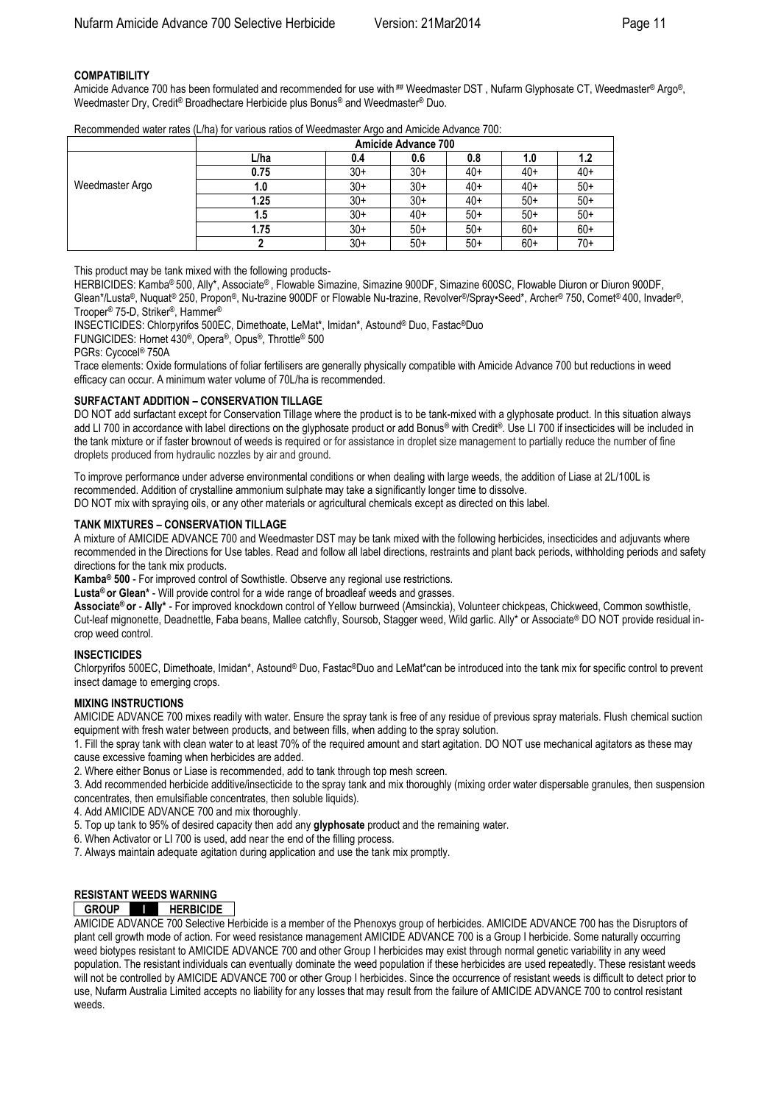# **COMPATIBILITY**

Amicide Advance 700 has been formulated and recommended for use with ## Weedmaster DST, Nufarm Glyphosate CT, Weedmaster® Argo®, Weedmaster Dry, Credit® Broadhectare Herbicide plus Bonus® and Weedmaster® Duo.

|                 | <b>Amicide Advance 700</b> |       |       |       |       |       |
|-----------------|----------------------------|-------|-------|-------|-------|-------|
|                 | L/ha                       | 0.4   | 0.6   | 0.8   | 1.0   | 1.2   |
|                 | 0.75                       | $30+$ | $30+$ | 40+   | $40+$ | $40+$ |
| Weedmaster Argo | 1.0                        | $30+$ | 30+   | 40+   | $40+$ | $50+$ |
|                 | 1.25                       | $30+$ | $30+$ | 40+   | $50+$ | $50+$ |
|                 | 1.5                        | $30+$ | $40+$ | $50+$ | $50+$ | $50+$ |
|                 | 1.75                       | $30+$ | $50+$ | $50+$ | $60+$ | $60+$ |
|                 |                            | $30+$ | $50+$ | $50+$ | $60+$ | $70+$ |

Recommended water rates (L/ha) for various ratios of Weedmaster Argo and Amicide Advance 700:

This product may be tank mixed with the following products-

HERBICIDES: Kamba® 500, Ally\*, Associate® , Flowable Simazine, Simazine 900DF, Simazine 600SC, Flowable Diuron or Diuron 900DF, Glean\*/Lusta®, Nuquat® 250, Propon®, Nu-trazine 900DF or Flowable Nu-trazine, Revolver®/Spray•Seed\*, Archer® 750, Comet® 400, Invader®, Trooper® 75-D, Striker®, Hammer®

INSECTICIDES: Chlorpyrifos 500EC, Dimethoate, LeMat\*, Imidan\*, Astound® Duo, Fastac®Duo

FUNGICIDES: Hornet 430®, Opera®, Opus®, Throttle® 500

PGRs: Cycocel® 750A

Trace elements: Oxide formulations of foliar fertilisers are generally physically compatible with Amicide Advance 700 but reductions in weed efficacy can occur. A minimum water volume of 70L/ha is recommended.

### **SURFACTANT ADDITION – CONSERVATION TILLAGE**

DO NOT add surfactant except for Conservation Tillage where the product is to be tank-mixed with a glyphosate product. In this situation always add LI 700 in accordance with label directions on the glyphosate product or add Bonus® with Credit®. Use LI 700 if insecticides will be included in the tank mixture or if faster brownout of weeds is required or for assistance in droplet size management to partially reduce the number of fine droplets produced from hydraulic nozzles by air and ground.

To improve performance under adverse environmental conditions or when dealing with large weeds, the addition of Liase at 2L/100L is recommended. Addition of crystalline ammonium sulphate may take a significantly longer time to dissolve. DO NOT mix with spraying oils, or any other materials or agricultural chemicals except as directed on this label.

### **TANK MIXTURES – CONSERVATION TILLAGE**

A mixture of AMICIDE ADVANCE 700 and Weedmaster DST may be tank mixed with the following herbicides, insecticides and adjuvants where recommended in the Directions for Use tables. Read and follow all label directions, restraints and plant back periods, withholding periods and safety directions for the tank mix products.

**Kamba® 500** - For improved control of Sowthistle. Observe any regional use restrictions.

**Lusta® or Glean\*** - Will provide control for a wide range of broadleaf weeds and grasses.

**Associate® or** - **Ally\*** - For improved knockdown control of Yellow burrweed (Amsinckia), Volunteer chickpeas, Chickweed, Common sowthistle, Cut-leaf mignonette, Deadnettle, Faba beans, Mallee catchfly, Soursob, Stagger weed, Wild garlic. Ally\* or Associate® DO NOT provide residual incrop weed control.

### **INSECTICIDES**

Chlorpyrifos 500EC, Dimethoate, Imidan\*, Astound® Duo, Fastac®Duo and LeMat\*can be introduced into the tank mix for specific control to prevent insect damage to emerging crops.

### **MIXING INSTRUCTIONS**

AMICIDE ADVANCE 700 mixes readily with water. Ensure the spray tank is free of any residue of previous spray materials. Flush chemical suction equipment with fresh water between products, and between fills, when adding to the spray solution.

1. Fill the spray tank with clean water to at least 70% of the required amount and start agitation. DO NOT use mechanical agitators as these may cause excessive foaming when herbicides are added.

2. Where either Bonus or Liase is recommended, add to tank through top mesh screen.

3. Add recommended herbicide additive/insecticide to the spray tank and mix thoroughly (mixing order water dispersable granules, then suspension concentrates, then emulsifiable concentrates, then soluble liquids).

4. Add AMICIDE ADVANCE 700 and mix thoroughly.

5. Top up tank to 95% of desired capacity then add any **glyphosate** product and the remaining water.

6. When Activator or LI 700 is used, add near the end of the filling process.

7. Always maintain adequate agitation during application and use the tank mix promptly.

# **RESISTANT WEEDS WARNING**

# **GROUP I HERBICIDE**

AMICIDE ADVANCE 700 Selective Herbicide is a member of the Phenoxys group of herbicides. AMICIDE ADVANCE 700 has the Disruptors of plant cell growth mode of action. For weed resistance management AMICIDE ADVANCE 700 is a Group I herbicide. Some naturally occurring weed biotypes resistant to AMICIDE ADVANCE 700 and other Group I herbicides may exist through normal genetic variability in any weed population. The resistant individuals can eventually dominate the weed population if these herbicides are used repeatedly. These resistant weeds will not be controlled by AMICIDE ADVANCE 700 or other Group I herbicides. Since the occurrence of resistant weeds is difficult to detect prior to use, Nufarm Australia Limited accepts no liability for any losses that may result from the failure of AMICIDE ADVANCE 700 to control resistant weeds.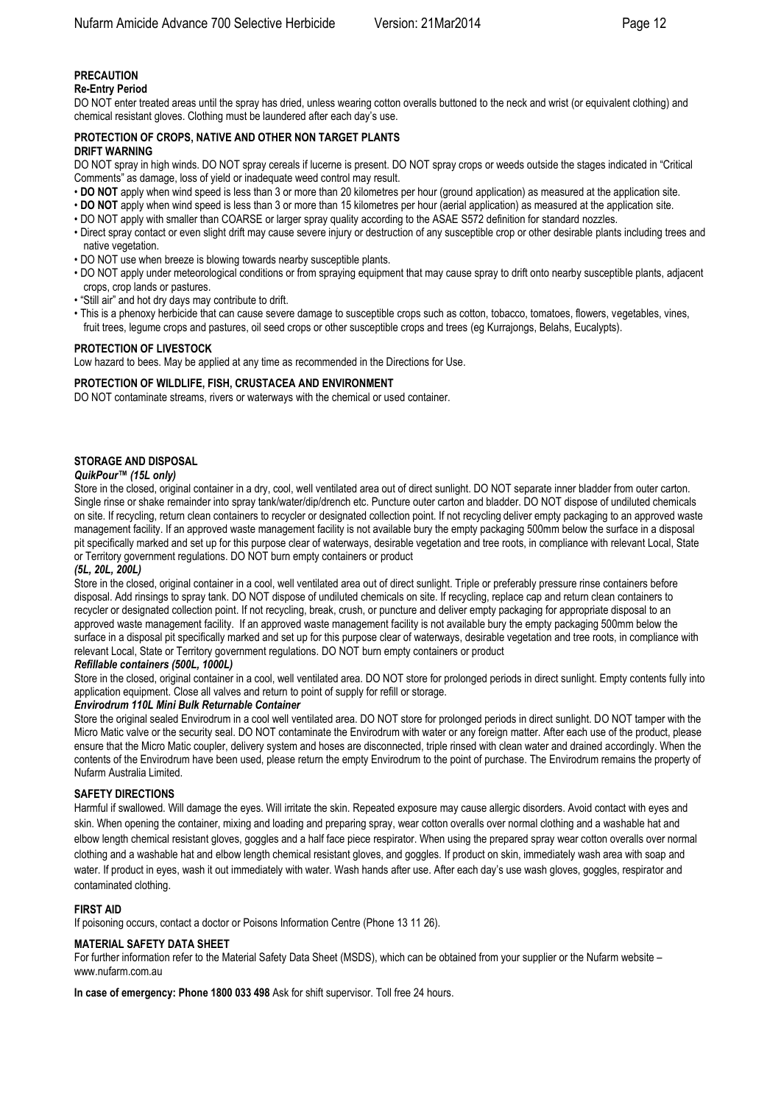# **PRECAUTION**

# **Re-Entry Period**

DO NOT enter treated areas until the spray has dried, unless wearing cotton overalls buttoned to the neck and wrist (or equivalent clothing) and chemical resistant gloves. Clothing must be laundered after each day's use.

#### **PROTECTION OF CROPS, NATIVE AND OTHER NON TARGET PLANTS DRIFT WARNING**

DO NOT spray in high winds. DO NOT spray cereals if lucerne is present. DO NOT spray crops or weeds outside the stages indicated in "Critical Comments" as damage, loss of yield or inadequate weed control may result.

- **DO NOT** apply when wind speed is less than 3 or more than 20 kilometres per hour (ground application) as measured at the application site.
- **DO NOT** apply when wind speed is less than 3 or more than 15 kilometres per hour (aerial application) as measured at the application site.
- DO NOT apply with smaller than COARSE or larger spray quality according to the ASAE S572 definition for standard nozzles.
- Direct spray contact or even slight drift may cause severe injury or destruction of any susceptible crop or other desirable plants including trees and native vegetation.
- DO NOT use when breeze is blowing towards nearby susceptible plants.
- DO NOT apply under meteorological conditions or from spraying equipment that may cause spray to drift onto nearby susceptible plants, adjacent crops, crop lands or pastures.
- "Still air" and hot dry days may contribute to drift.
- This is a phenoxy herbicide that can cause severe damage to susceptible crops such as cotton, tobacco, tomatoes, flowers, vegetables, vines, fruit trees, legume crops and pastures, oil seed crops or other susceptible crops and trees (eg Kurrajongs, Belahs, Eucalypts).

#### **PROTECTION OF LIVESTOCK**

Low hazard to bees. May be applied at any time as recommended in the Directions for Use.

#### **PROTECTION OF WILDLIFE, FISH, CRUSTACEA AND ENVIRONMENT**

DO NOT contaminate streams, rivers or waterways with the chemical or used container.

### **STORAGE AND DISPOSAL**

#### *QuikPour™ (15L only)*

Store in the closed, original container in a dry, cool, well ventilated area out of direct sunlight. DO NOT separate inner bladder from outer carton. Single rinse or shake remainder into spray tank/water/dip/drench etc. Puncture outer carton and bladder. DO NOT dispose of undiluted chemicals on site. If recycling, return clean containers to recycler or designated collection point. If not recycling deliver empty packaging to an approved waste management facility. If an approved waste management facility is not available bury the empty packaging 500mm below the surface in a disposal pit specifically marked and set up for this purpose clear of waterways, desirable vegetation and tree roots, in compliance with relevant Local, State or Territory government regulations. DO NOT burn empty containers or product

### *(5L, 20L, 200L)*

Store in the closed, original container in a cool, well ventilated area out of direct sunlight. Triple or preferably pressure rinse containers before disposal. Add rinsings to spray tank. DO NOT dispose of undiluted chemicals on site. If recycling, replace cap and return clean containers to recycler or designated collection point. If not recycling, break, crush, or puncture and deliver empty packaging for appropriate disposal to an approved waste management facility. If an approved waste management facility is not available bury the empty packaging 500mm below the surface in a disposal pit specifically marked and set up for this purpose clear of waterways, desirable vegetation and tree roots, in compliance with relevant Local, State or Territory government regulations. DO NOT burn empty containers or product

#### *Refillable containers (500L, 1000L)*

Store in the closed, original container in a cool, well ventilated area. DO NOT store for prolonged periods in direct sunlight. Empty contents fully into application equipment. Close all valves and return to point of supply for refill or storage.

### *Envirodrum 110L Mini Bulk Returnable Container*

Store the original sealed Envirodrum in a cool well ventilated area. DO NOT store for prolonged periods in direct sunlight. DO NOT tamper with the Micro Matic valve or the security seal. DO NOT contaminate the Envirodrum with water or any foreign matter. After each use of the product, please ensure that the Micro Matic coupler, delivery system and hoses are disconnected, triple rinsed with clean water and drained accordingly. When the contents of the Envirodrum have been used, please return the empty Envirodrum to the point of purchase. The Envirodrum remains the property of Nufarm Australia Limited.

### **SAFETY DIRECTIONS**

Harmful if swallowed. Will damage the eyes. Will irritate the skin. Repeated exposure may cause allergic disorders. Avoid contact with eyes and skin. When opening the container, mixing and loading and preparing spray, wear cotton overalls over normal clothing and a washable hat and elbow length chemical resistant gloves, goggles and a half face piece respirator. When using the prepared spray wear cotton overalls over normal clothing and a washable hat and elbow length chemical resistant gloves, and goggles. If product on skin, immediately wash area with soap and water. If product in eyes, wash it out immediately with water. Wash hands after use. After each day's use wash gloves, goggles, respirator and contaminated clothing.

# **FIRST AID**

If poisoning occurs, contact a doctor or Poisons Information Centre (Phone 13 11 26).

### **MATERIAL SAFETY DATA SHEET**

For further information refer to the Material Safety Data Sheet (MSDS), which can be obtained from your supplier or the Nufarm website – [www.nufarm.com.au](http://www.nufarm.com.au/)

**In case of emergency: Phone 1800 033 498** Ask for shift supervisor. Toll free 24 hours.